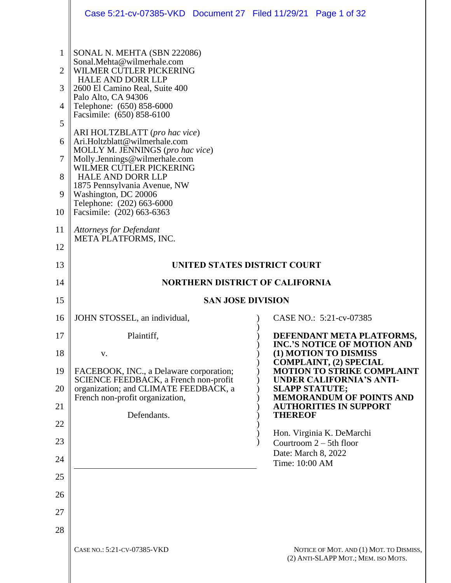|                                                                           | Case 5:21-cv-07385-VKD Document 27 Filed 11/29/21 Page 1 of 32                                                                                                                                                                                                                                                                                                                                                                                                                                                                                      |                                                                                |  |
|---------------------------------------------------------------------------|-----------------------------------------------------------------------------------------------------------------------------------------------------------------------------------------------------------------------------------------------------------------------------------------------------------------------------------------------------------------------------------------------------------------------------------------------------------------------------------------------------------------------------------------------------|--------------------------------------------------------------------------------|--|
| 1<br>$\overline{2}$<br>3<br>4<br>5<br>6<br>$\overline{7}$<br>8<br>9<br>10 | SONAL N. MEHTA (SBN 222086)<br>Sonal.Mehta@wilmerhale.com<br>WILMER CUTLER PICKERING<br><b>HALE AND DORR LLP</b><br>2600 El Camino Real, Suite 400<br>Palo Alto, CA 94306<br>Telephone: (650) 858-6000<br>Facsimile: (650) 858-6100<br>ARI HOLTZBLATT (pro hac vice)<br>Ari.Holtzblatt@wilmerhale.com<br>MOLLY M. JENNINGS (pro hac vice)<br>Molly.Jennings@wilmerhale.com<br>WILMER CUTLER PICKERING<br><b>HALE AND DORR LLP</b><br>1875 Pennsylvania Avenue, NW<br>Washington, DC 20006<br>Telephone: (202) 663-6000<br>Facsimile: (202) 663-6363 |                                                                                |  |
| 11                                                                        | <b>Attorneys for Defendant</b>                                                                                                                                                                                                                                                                                                                                                                                                                                                                                                                      |                                                                                |  |
| 12                                                                        | META PLATFORMS, INC.                                                                                                                                                                                                                                                                                                                                                                                                                                                                                                                                |                                                                                |  |
| 13                                                                        | UNITED STATES DISTRICT COURT                                                                                                                                                                                                                                                                                                                                                                                                                                                                                                                        |                                                                                |  |
| 14                                                                        |                                                                                                                                                                                                                                                                                                                                                                                                                                                                                                                                                     | <b>NORTHERN DISTRICT OF CALIFORNIA</b>                                         |  |
| 15                                                                        | <b>SAN JOSE DIVISION</b>                                                                                                                                                                                                                                                                                                                                                                                                                                                                                                                            |                                                                                |  |
| 16                                                                        | JOHN STOSSEL, an individual,                                                                                                                                                                                                                                                                                                                                                                                                                                                                                                                        | CASE NO.: 5:21-cv-07385                                                        |  |
| 17                                                                        | Plaintiff,                                                                                                                                                                                                                                                                                                                                                                                                                                                                                                                                          | DEFENDANT META PLATFORMS,<br><b>INC.'S NOTICE OF MOTION AND</b>                |  |
| 18                                                                        | V.                                                                                                                                                                                                                                                                                                                                                                                                                                                                                                                                                  | (1) MOTION TO DISMISS<br><b>COMPLAINT, (2) SPECIAL</b>                         |  |
| 19                                                                        | FACEBOOK, INC., a Delaware corporation;<br>SCIENCE FEEDBACK, a French non-profit                                                                                                                                                                                                                                                                                                                                                                                                                                                                    | <b>MOTION TO STRIKE COMPLAINT</b><br><b>UNDER CALIFORNIA'S ANTI-</b>           |  |
| 20                                                                        | organization; and CLIMATE FEEDBACK, a<br>French non-profit organization,                                                                                                                                                                                                                                                                                                                                                                                                                                                                            | <b>SLAPP STATUTE;</b><br><b>MEMORANDUM OF POINTS AND</b>                       |  |
| 21                                                                        | Defendants.                                                                                                                                                                                                                                                                                                                                                                                                                                                                                                                                         | <b>AUTHORITIES IN SUPPORT</b><br><b>THEREOF</b>                                |  |
| 22<br>23                                                                  |                                                                                                                                                                                                                                                                                                                                                                                                                                                                                                                                                     | Hon. Virginia K. DeMarchi                                                      |  |
| 24                                                                        |                                                                                                                                                                                                                                                                                                                                                                                                                                                                                                                                                     | Courtroom 2 – 5th floor<br>Date: March 8, 2022                                 |  |
| 25                                                                        |                                                                                                                                                                                                                                                                                                                                                                                                                                                                                                                                                     | Time: 10:00 AM                                                                 |  |
| 26                                                                        |                                                                                                                                                                                                                                                                                                                                                                                                                                                                                                                                                     |                                                                                |  |
| 27                                                                        |                                                                                                                                                                                                                                                                                                                                                                                                                                                                                                                                                     |                                                                                |  |
| 28                                                                        |                                                                                                                                                                                                                                                                                                                                                                                                                                                                                                                                                     |                                                                                |  |
|                                                                           | CASE NO.: 5:21-CV-07385-VKD                                                                                                                                                                                                                                                                                                                                                                                                                                                                                                                         | NOTICE OF MOT. AND (1) MOT. TO DISMISS,<br>(2) ANTI-SLAPP MOT.; MEM. ISO MOTS. |  |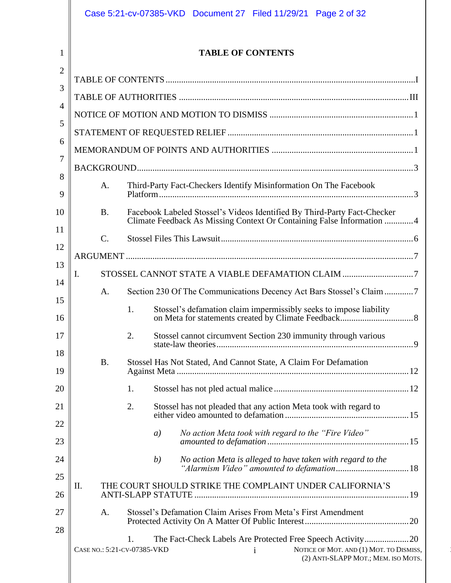<span id="page-1-0"></span>

|                |                                                                         |                 | Case 5:21-cv-07385-VKD Document 27 Filed 11/29/21 Page 2 of 32                                                                                     |  |  |  |
|----------------|-------------------------------------------------------------------------|-----------------|----------------------------------------------------------------------------------------------------------------------------------------------------|--|--|--|
| 1              |                                                                         |                 | <b>TABLE OF CONTENTS</b>                                                                                                                           |  |  |  |
| $\overline{2}$ |                                                                         |                 |                                                                                                                                                    |  |  |  |
| 3              |                                                                         |                 |                                                                                                                                                    |  |  |  |
| $\overline{4}$ |                                                                         |                 |                                                                                                                                                    |  |  |  |
| 5              |                                                                         |                 |                                                                                                                                                    |  |  |  |
| 6              |                                                                         |                 |                                                                                                                                                    |  |  |  |
| 7              |                                                                         |                 |                                                                                                                                                    |  |  |  |
| 8<br>9         | Third-Party Fact-Checkers Identify Misinformation On The Facebook<br>A. |                 |                                                                                                                                                    |  |  |  |
| 10             |                                                                         | <b>B.</b>       | Facebook Labeled Stossel's Videos Identified By Third-Party Fact-Checker<br>Climate Feedback As Missing Context Or Containing False Information  4 |  |  |  |
| 11             |                                                                         | $\mathcal{C}$ . |                                                                                                                                                    |  |  |  |
| 12             |                                                                         |                 |                                                                                                                                                    |  |  |  |
| 13<br>Ι.       |                                                                         |                 |                                                                                                                                                    |  |  |  |
| 14             |                                                                         | A.              | Section 230 Of The Communications Decency Act Bars Stossel's Claim 7                                                                               |  |  |  |
| 15<br>16       |                                                                         |                 | Stossel's defamation claim impermissibly seeks to impose liability<br>1.                                                                           |  |  |  |
| 17             |                                                                         |                 | 2.<br>Stossel cannot circumvent Section 230 immunity through various                                                                               |  |  |  |
| 18<br>19       |                                                                         | <b>B.</b>       | Stossel Has Not Stated, And Cannot State, A Claim For Defamation                                                                                   |  |  |  |
| 20             |                                                                         |                 | 1.                                                                                                                                                 |  |  |  |
| 21             |                                                                         |                 | 2.<br>Stossel has not pleaded that any action Meta took with regard to                                                                             |  |  |  |
| 22             |                                                                         |                 | No action Meta took with regard to the "Fire Video"<br>a)                                                                                          |  |  |  |
| 23             |                                                                         |                 |                                                                                                                                                    |  |  |  |
| 24<br>25       |                                                                         |                 | No action Meta is alleged to have taken with regard to the<br>(b)                                                                                  |  |  |  |
| 26             | П.                                                                      |                 | THE COURT SHOULD STRIKE THE COMPLAINT UNDER CALIFORNIA'S                                                                                           |  |  |  |
| 27             | Stossel's Defamation Claim Arises From Meta's First Amendment<br>A.     |                 |                                                                                                                                                    |  |  |  |
| 28             |                                                                         |                 | 1.<br>CASE NO.: 5:21-CV-07385-VKD<br>NOTICE OF MOT. AND (1) MOT. TO DISMISS,<br>$\mathbf{i}$<br>(2) ANTI-SLAPP MOT.; MEM. ISO MOTS.                |  |  |  |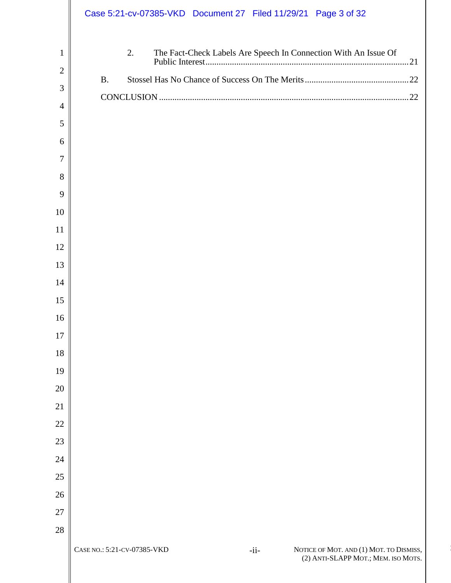|                | Case 5:21-cv-07385-VKD Document 27 Filed 11/29/21 Page 3 of 32                                                          |
|----------------|-------------------------------------------------------------------------------------------------------------------------|
| $\mathbf{1}$   | 2.<br>The Fact-Check Labels Are Speech In Connection With An Issue Of                                                   |
| $\overline{2}$ | <b>B.</b>                                                                                                               |
| 3              |                                                                                                                         |
| $\overline{4}$ |                                                                                                                         |
| 5              |                                                                                                                         |
| 6              |                                                                                                                         |
| $\overline{7}$ |                                                                                                                         |
| 8              |                                                                                                                         |
| 9              |                                                                                                                         |
| 10             |                                                                                                                         |
| 11             |                                                                                                                         |
| 12             |                                                                                                                         |
| 13             |                                                                                                                         |
| 14             |                                                                                                                         |
| 15             |                                                                                                                         |
| 16             |                                                                                                                         |
| 17             |                                                                                                                         |
| 18             |                                                                                                                         |
| 19             |                                                                                                                         |
| 20             |                                                                                                                         |
| 21             |                                                                                                                         |
| $22\,$         |                                                                                                                         |
| $23\,$         |                                                                                                                         |
| 24             |                                                                                                                         |
| $25\,$         |                                                                                                                         |
| 26             |                                                                                                                         |
| 27             |                                                                                                                         |
| $28\,$         |                                                                                                                         |
|                | CASE NO.: 5:21-CV-07385-VKD<br>NOTICE OF MOT. AND (1) MOT. TO DISMISS,<br>$-ii-$<br>(2) ANTI-SLAPP MOT.; MEM. ISO MOTS. |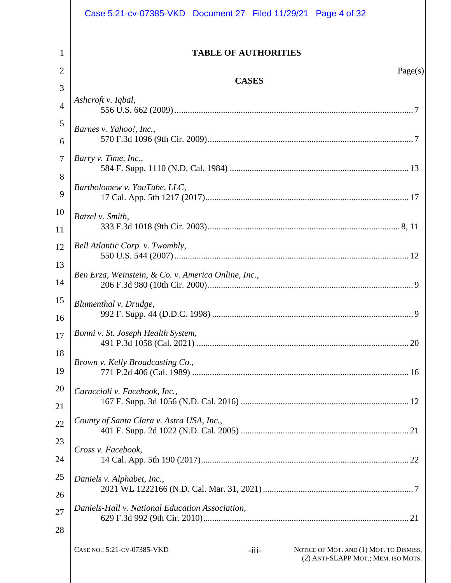<span id="page-3-0"></span>

|                     | Case 5:21-cv-07385-VKD Document 27 Filed 11/29/21 Page 4 of 32                                                           |
|---------------------|--------------------------------------------------------------------------------------------------------------------------|
|                     |                                                                                                                          |
| 1                   | <b>TABLE OF AUTHORITIES</b>                                                                                              |
| 2                   | Page(s)<br><b>CASES</b>                                                                                                  |
| 3                   | Ashcroft v. Iqbal,                                                                                                       |
| $\overline{4}$      |                                                                                                                          |
| 5                   | Barnes v. Yahoo!, Inc.,                                                                                                  |
| 6<br>$\overline{7}$ | Barry v. Time, Inc.,                                                                                                     |
| 8                   |                                                                                                                          |
| 9                   | Bartholomew v. YouTube, LLC,                                                                                             |
| 10                  | Batzel v. Smith,                                                                                                         |
| 11                  |                                                                                                                          |
| 12                  | Bell Atlantic Corp. v. Twombly,                                                                                          |
| 13<br>14            | Ben Erza, Weinstein, & Co. v. America Online, Inc.,                                                                      |
| 15                  | Blumenthal v. Drudge,                                                                                                    |
| 16                  |                                                                                                                          |
| 17                  | Bonni v. St. Joseph Health System,                                                                                       |
| 18<br>19            | Brown v. Kelly Broadcasting Co.,                                                                                         |
| 20                  | Caraccioli v. Facebook, Inc.,                                                                                            |
| 21                  |                                                                                                                          |
| 22                  | County of Santa Clara v. Astra USA, Inc.,                                                                                |
| 23                  | Cross v. Facebook,                                                                                                       |
| 24                  |                                                                                                                          |
| 25                  | Daniels v. Alphabet, Inc.,                                                                                               |
| 26                  | Daniels-Hall v. National Education Association,                                                                          |
| 27                  |                                                                                                                          |
| 28                  |                                                                                                                          |
|                     | CASE NO.: 5:21-CV-07385-VKD<br>NOTICE OF MOT. AND (1) MOT. TO DISMISS,<br>$-iii-$<br>(2) ANTI-SLAPP MOT.; MEM. ISO MOTS. |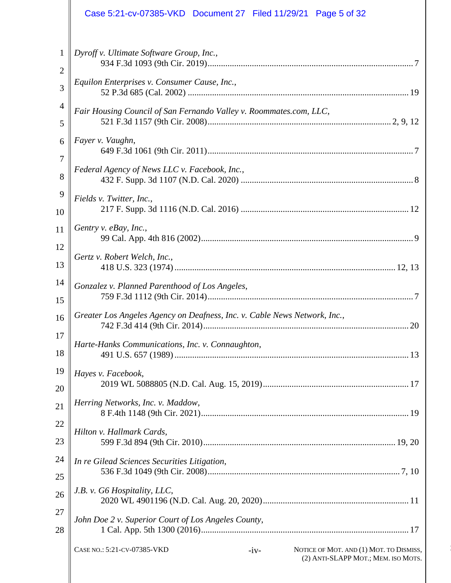|                     | Case 5:21-cv-07385-VKD Document 27 Filed 11/29/21 Page 5 of 32                                                          |
|---------------------|-------------------------------------------------------------------------------------------------------------------------|
| 1<br>$\overline{c}$ | Dyroff v. Ultimate Software Group, Inc.,                                                                                |
| 3                   | Equilon Enterprises v. Consumer Cause, Inc.,                                                                            |
| $\overline{4}$<br>5 | Fair Housing Council of San Fernando Valley v. Roommates.com, LLC,                                                      |
| 6                   | Fayer v. Vaughn,                                                                                                        |
| 7<br>8              | Federal Agency of News LLC v. Facebook, Inc.,                                                                           |
| 9                   | Fields v. Twitter, Inc.,                                                                                                |
| 10<br>11            | Gentry v. eBay, Inc.,                                                                                                   |
| 12                  |                                                                                                                         |
| 13<br>14            | Gertz v. Robert Welch, Inc.,                                                                                            |
| 15                  | Gonzalez v. Planned Parenthood of Los Angeles,                                                                          |
| 16                  | Greater Los Angeles Agency on Deafness, Inc. v. Cable News Network, Inc.,                                               |
| 17<br>18            | Harte-Hanks Communications, Inc. v. Connaughton,                                                                        |
| 19<br>20            | Hayes v. Facebook,                                                                                                      |
| 21                  | Herring Networks, Inc. v. Maddow,                                                                                       |
| 22<br>23            | Hilton v. Hallmark Cards,                                                                                               |
| 24                  | In re Gilead Sciences Securities Litigation,                                                                            |
| 25<br>26            | J.B. v. G6 Hospitality, LLC,                                                                                            |
| 27                  | John Doe 2 v. Superior Court of Los Angeles County,                                                                     |
| 28                  |                                                                                                                         |
|                     | CASE NO.: 5:21-CV-07385-VKD<br>NOTICE OF MOT. AND (1) MOT. TO DISMISS,<br>$-iv-$<br>(2) ANTI-SLAPP MOT.; MEM. ISO MOTS. |
|                     |                                                                                                                         |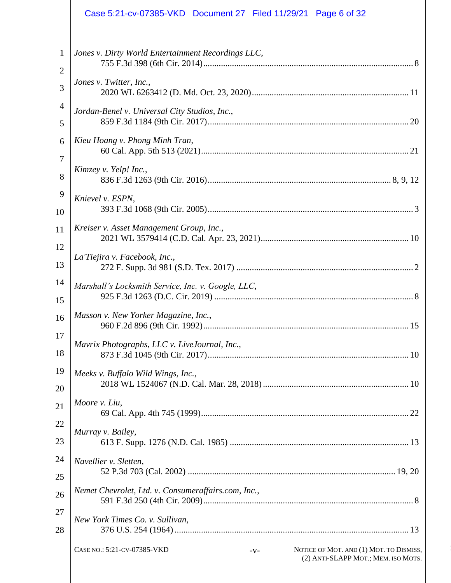|                | Case 5:21-cv-07385-VKD Document 27 Filed 11/29/21 Page 6 of 32                                                         |
|----------------|------------------------------------------------------------------------------------------------------------------------|
| 1              | Jones v. Dirty World Entertainment Recordings LLC,                                                                     |
| $\overline{c}$ |                                                                                                                        |
| 3              | Jones v. Twitter, Inc.,                                                                                                |
| $\overline{4}$ | Jordan-Benel v. Universal City Studios, Inc.,                                                                          |
| 5              |                                                                                                                        |
| 6              | Kieu Hoang v. Phong Minh Tran,                                                                                         |
| 7              |                                                                                                                        |
| 8              | Kimzey v. Yelp! Inc.,                                                                                                  |
| 9              | Knievel v. ESPN,                                                                                                       |
| 10             |                                                                                                                        |
| 11             | Kreiser v. Asset Management Group, Inc.,                                                                               |
| 12             |                                                                                                                        |
| 13             | La'Tiejira v. Facebook, Inc.,                                                                                          |
| 14             | Marshall's Locksmith Service, Inc. v. Google, LLC,                                                                     |
| 15             |                                                                                                                        |
| 16             | Masson v. New Yorker Magazine, Inc.,                                                                                   |
| 17             |                                                                                                                        |
| 18             | Mavrix Photographs, LLC v. LiveJournal, Inc.,                                                                          |
| 19             | Meeks v. Buffalo Wild Wings, Inc.,                                                                                     |
| 20             |                                                                                                                        |
| 21             | Moore v. Liu,                                                                                                          |
| 22             |                                                                                                                        |
| 23             | Murray v. Bailey,                                                                                                      |
| 24             | Navellier v. Sletten,                                                                                                  |
| 25             |                                                                                                                        |
| 26             | Nemet Chevrolet, Ltd. v. Consumeraffairs.com, Inc.,                                                                    |
| 27             | New York Times Co. v. Sullivan,                                                                                        |
| 28             |                                                                                                                        |
|                | CASE NO.: 5:21-CV-07385-VKD<br>NOTICE OF MOT. AND (1) MOT. TO DISMISS,<br>$-V-$<br>(2) ANTI-SLAPP MOT.; MEM. ISO MOTS. |
|                |                                                                                                                        |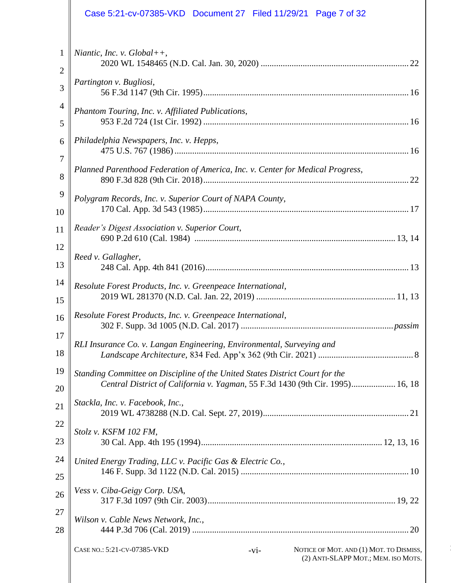|                     | Case 5:21-cv-07385-VKD Document 27 Filed 11/29/21 Page 7 of 32                                                                                                |
|---------------------|---------------------------------------------------------------------------------------------------------------------------------------------------------------|
| 1<br>$\overline{2}$ | Niantic, Inc. v. $Global++$ ,                                                                                                                                 |
| 3                   | Partington v. Bugliosi,                                                                                                                                       |
| $\overline{4}$      | Phantom Touring, Inc. v. Affiliated Publications,                                                                                                             |
| 5                   |                                                                                                                                                               |
| 6                   | Philadelphia Newspapers, Inc. v. Hepps,                                                                                                                       |
| 7<br>8              | Planned Parenthood Federation of America, Inc. v. Center for Medical Progress,                                                                                |
| 9<br>10             | Polygram Records, Inc. v. Superior Court of NAPA County,                                                                                                      |
| 11                  | Reader's Digest Association v. Superior Court,                                                                                                                |
| 12                  | Reed v. Gallagher,                                                                                                                                            |
| 13                  |                                                                                                                                                               |
| 14<br>15            | Resolute Forest Products, Inc. v. Greenpeace International,                                                                                                   |
| 16                  | Resolute Forest Products, Inc. v. Greenpeace International,                                                                                                   |
| 17<br>18            | RLI Insurance Co. v. Langan Engineering, Environmental, Surveying and                                                                                         |
| 19<br>20            | Standing Committee on Discipline of the United States District Court for the<br>Central District of California v. Yagman, 55 F.3d 1430 (9th Cir. 1995) 16, 18 |
| 21                  | Stackla, Inc. v. Facebook, Inc.,                                                                                                                              |
| 22<br>23            | Stolz v. KSFM 102 FM,                                                                                                                                         |
| 24                  |                                                                                                                                                               |
| 25                  | United Energy Trading, LLC v. Pacific Gas & Electric Co.,                                                                                                     |
| 26                  | Vess v. Ciba-Geigy Corp. USA,                                                                                                                                 |
| 27                  | Wilson v. Cable News Network, Inc.,                                                                                                                           |
| 28                  |                                                                                                                                                               |
|                     | CASE NO.: 5:21-CV-07385-VKD<br>NOTICE OF MOT. AND (1) MOT. TO DISMISS,<br>$-vi-$<br>(2) ANTI-SLAPP MOT.; MEM. ISO MOTS.                                       |
|                     |                                                                                                                                                               |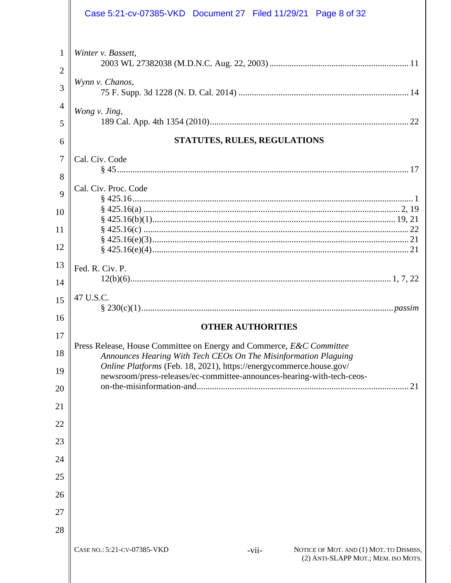|                     | Case 5:21-cv-07385-VKD Document 27 Filed 11/29/21 Page 8 of 32                                                                         |  |  |  |
|---------------------|----------------------------------------------------------------------------------------------------------------------------------------|--|--|--|
| 1<br>$\overline{2}$ | Winter v. Bassett,                                                                                                                     |  |  |  |
| 3                   | Wynn v. Chanos,                                                                                                                        |  |  |  |
| 4                   | Wong v. Jing,                                                                                                                          |  |  |  |
| 5                   |                                                                                                                                        |  |  |  |
| 6                   | STATUTES, RULES, REGULATIONS                                                                                                           |  |  |  |
| 7                   | Cal. Civ. Code                                                                                                                         |  |  |  |
| 8                   | Cal. Civ. Proc. Code                                                                                                                   |  |  |  |
| 9                   |                                                                                                                                        |  |  |  |
| 10                  |                                                                                                                                        |  |  |  |
| 11                  |                                                                                                                                        |  |  |  |
| 12                  |                                                                                                                                        |  |  |  |
| 13                  | Fed. R. Civ. P.                                                                                                                        |  |  |  |
| 14                  |                                                                                                                                        |  |  |  |
| 15                  | 47 U.S.C.                                                                                                                              |  |  |  |
| 16                  | <b>OTHER AUTHORITIES</b>                                                                                                               |  |  |  |
| 17                  | Press Release, House Committee on Energy and Commerce, E&C Committee                                                                   |  |  |  |
| 18                  | Announces Hearing With Tech CEOs On The Misinformation Plaguing<br>Online Platforms (Feb. 18, 2021), https://energycommerce.house.gov/ |  |  |  |
| 19                  | newsroom/press-releases/ec-committee-announces-hearing-with-tech-ceos-                                                                 |  |  |  |
| 20                  | on-the-misinformation-and.<br>21                                                                                                       |  |  |  |
| 21                  |                                                                                                                                        |  |  |  |
| 22                  |                                                                                                                                        |  |  |  |
| 23                  |                                                                                                                                        |  |  |  |
| 24                  |                                                                                                                                        |  |  |  |
| 25                  |                                                                                                                                        |  |  |  |
| 26                  |                                                                                                                                        |  |  |  |
| 27                  |                                                                                                                                        |  |  |  |
| 28                  |                                                                                                                                        |  |  |  |
|                     | CASE NO.: 5:21-CV-07385-VKD<br>NOTICE OF MOT. AND (1) MOT. TO DISMISS,<br>-vii-<br>(2) ANTI-SLAPP MOT.; MEM. ISO MOTS.                 |  |  |  |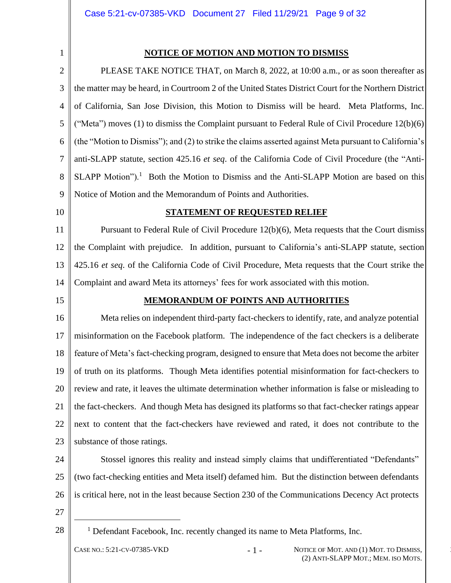### **NOTICE OF MOTION AND MOTION TO DISMISS**

<span id="page-8-0"></span>2 3 4 5 6 7 8 9 PLEASE TAKE NOTICE THAT, on March 8, 2022, at 10:00 a.m., or as soon thereafter as the matter may be heard, in Courtroom 2 of the United States District Court for the Northern District of California, San Jose Division, this Motion to Dismiss will be heard. Meta Platforms, Inc. ("Meta") moves  $(1)$  to dismiss the Complaint pursuant to Federal Rule of Civil Procedure 12(b) $(6)$ (the "Motion to Dismiss"); and (2) to strike the claims asserted against Meta pursuant to California's anti-SLAPP statute, section 425.16 *et seq*. of the California Code of Civil Procedure (the "Anti- $SLAPP$  Motion").<sup>1</sup> Both the Motion to Dismiss and the Anti-SLAPP Motion are based on this Notice of Motion and the Memorandum of Points and Authorities.

<span id="page-8-1"></span>10

#### <span id="page-8-3"></span>**STATEMENT OF REQUESTED RELIEF**

11 12 13 14 Pursuant to Federal Rule of Civil Procedure 12(b)(6), Meta requests that the Court dismiss the Complaint with prejudice. In addition, pursuant to California's anti-SLAPP statute, section 425.16 *et seq*. of the California Code of Civil Procedure, Meta requests that the Court strike the Complaint and award Meta its attorneys' fees for work associated with this motion.

<span id="page-8-2"></span>15

#### **MEMORANDUM OF POINTS AND AUTHORITIES**

16 17 18 19 20 21 22 23 Meta relies on independent third-party fact-checkers to identify, rate, and analyze potential misinformation on the Facebook platform. The independence of the fact checkers is a deliberate feature of Meta's fact-checking program, designed to ensure that Meta does not become the arbiter of truth on its platforms. Though Meta identifies potential misinformation for fact-checkers to review and rate, it leaves the ultimate determination whether information is false or misleading to the fact-checkers. And though Meta has designed its platforms so that fact-checker ratings appear next to content that the fact-checkers have reviewed and rated, it does not contribute to the substance of those ratings.

24 25 26 Stossel ignores this reality and instead simply claims that undifferentiated "Defendants" (two fact-checking entities and Meta itself) defamed him. But the distinction between defendants is critical here, not in the least because Section 230 of the Communications Decency Act protects

- 27
- 28

<sup>1</sup> Defendant Facebook, Inc. recently changed its name to Meta Platforms, Inc.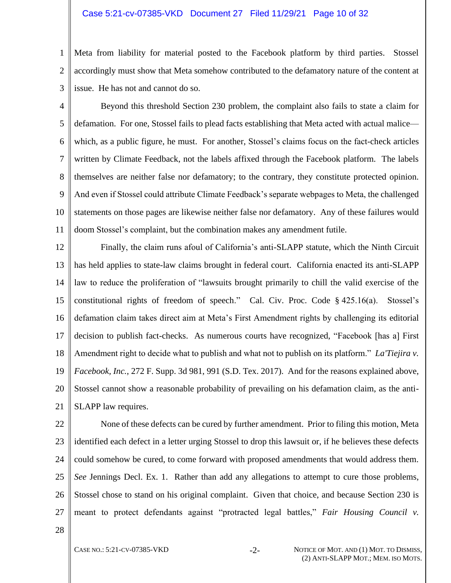#### Case 5:21-cv-07385-VKD Document 27 Filed 11/29/21 Page 10 of 32

1  $\mathcal{L}$ Meta from liability for material posted to the Facebook platform by third parties. Stossel accordingly must show that Meta somehow contributed to the defamatory nature of the content at issue. He has not and cannot do so.

3

4 5 6 7 8 9 10 11 Beyond this threshold Section 230 problem, the complaint also fails to state a claim for defamation. For one, Stossel fails to plead facts establishing that Meta acted with actual malice which, as a public figure, he must. For another, Stossel's claims focus on the fact-check articles written by Climate Feedback, not the labels affixed through the Facebook platform. The labels themselves are neither false nor defamatory; to the contrary, they constitute protected opinion. And even if Stossel could attribute Climate Feedback's separate webpages to Meta, the challenged statements on those pages are likewise neither false nor defamatory. Any of these failures would doom Stossel's complaint, but the combination makes any amendment futile.

12 13 14 15 16 17 18 19 20 21 Finally, the claim runs afoul of California's anti-SLAPP statute, which the Ninth Circuit has held applies to state-law claims brought in federal court. California enacted its anti-SLAPP law to reduce the proliferation of "lawsuits brought primarily to chill the valid exercise of the constitutional rights of freedom of speech." Cal. Civ. Proc. Code § 425.16(a). Stossel's defamation claim takes direct aim at Meta's First Amendment rights by challenging its editorial decision to publish fact-checks. As numerous courts have recognized, "Facebook [has a] First Amendment right to decide what to publish and what not to publish on its platform." *La'Tiejira v. Facebook, Inc.*, 272 F. Supp. 3d 981, 991 (S.D. Tex. 2017). And for the reasons explained above, Stossel cannot show a reasonable probability of prevailing on his defamation claim, as the anti-SLAPP law requires.

<span id="page-9-0"></span>22 23 24 25 26 27 None of these defects can be cured by further amendment. Prior to filing this motion, Meta identified each defect in a letter urging Stossel to drop this lawsuit or, if he believes these defects could somehow be cured, to come forward with proposed amendments that would address them. *See* Jennings Decl. Ex. 1. Rather than add any allegations to attempt to cure those problems, Stossel chose to stand on his original complaint. Given that choice, and because Section 230 is meant to protect defendants against "protracted legal battles," *Fair Housing Council v.*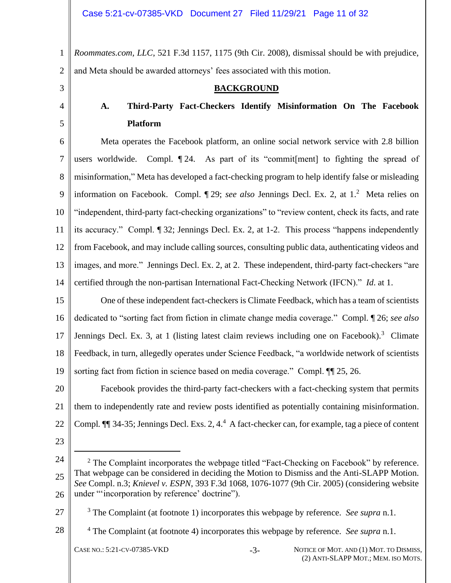1 2 *Roommates.com, LLC*, 521 F.3d 1157, 1175 (9th Cir. 2008), dismissal should be with prejudice, and Meta should be awarded attorneys' fees associated with this motion.

<span id="page-10-0"></span>3

<span id="page-10-1"></span>4

5

#### **BACKGROUND**

## **A. Third-Party Fact-Checkers Identify Misinformation On The Facebook Platform**

6 7 8 9 10 11 12 13 14 Meta operates the Facebook platform, an online social network service with 2.8 billion users worldwide. Compl. ¶ 24. As part of its "commit[ment] to fighting the spread of misinformation," Meta has developed a fact-checking program to help identify false or misleading information on Facebook. Compl. 1 29; *see also* Jennings Decl. Ex. 2, at 1.<sup>2</sup> Meta relies on "independent, third-party fact-checking organizations" to "review content, check its facts, and rate its accuracy." Compl. ¶ 32; Jennings Decl. Ex. 2, at 1-2. This process "happens independently from Facebook, and may include calling sources, consulting public data, authenticating videos and images, and more." Jennings Decl. Ex. 2, at 2. These independent, third-party fact-checkers "are certified through the non-partisan International Fact-Checking Network (IFCN)." *Id*. at 1.

15 16 17 18 19 One of these independent fact-checkers is Climate Feedback, which has a team of scientists dedicated to "sorting fact from fiction in climate change media coverage." Compl. ¶ 26; *see also* Jennings Decl. Ex. 3, at 1 (listing latest claim reviews including one on Facebook).<sup>3</sup> Climate Feedback, in turn, allegedly operates under Science Feedback, "a worldwide network of scientists sorting fact from fiction in science based on media coverage." Compl. ¶¶ 25, 26.

20 21 22 Facebook provides the third-party fact-checkers with a fact-checking system that permits them to independently rate and review posts identified as potentially containing misinformation. Compl.  $\P$ <sup> $\parallel$ </sup> 34-35; Jennings Decl. Exs. 2, 4.<sup>4</sup> A fact-checker can, for example, tag a piece of content

23

## 27

28

<sup>3</sup> The Complaint (at footnote 1) incorporates this webpage by reference. *See supra* n.1.

<sup>4</sup> The Complaint (at footnote 4) incorporates this webpage by reference. *See supra* n.1.

<sup>24</sup> 25 26  $2$  The Complaint incorporates the webpage titled "Fact-Checking on Facebook" by reference. That webpage can be considered in deciding the Motion to Dismiss and the Anti-SLAPP Motion. *See* Compl. n.3; *Knievel v. ESPN*, 393 F.3d 1068, 1076-1077 (9th Cir. 2005) (considering website under "'incorporation by reference' doctrine").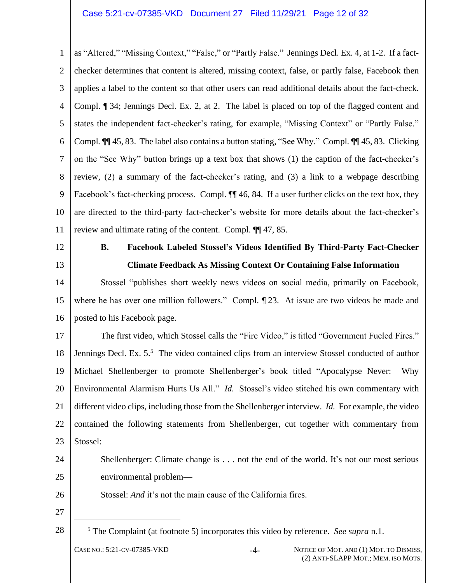1  $\mathcal{L}$ 3 4 5 6 7 8 9 10 11 as "Altered," "Missing Context," "False," or "Partly False." Jennings Decl. Ex. 4, at 1-2. If a factchecker determines that content is altered, missing context, false, or partly false, Facebook then applies a label to the content so that other users can read additional details about the fact-check. Compl. ¶ 34; Jennings Decl. Ex. 2, at 2. The label is placed on top of the flagged content and states the independent fact-checker's rating, for example, "Missing Context" or "Partly False." Compl*.* ¶¶ 45, 83. The label also contains a button stating, "See Why." Compl*.* ¶¶ 45, 83. Clicking on the "See Why" button brings up a text box that shows (1) the caption of the fact-checker's review, (2) a summary of the fact-checker's rating, and (3) a link to a webpage describing Facebook's fact-checking process. Compl.  $\P\P$  46, 84. If a user further clicks on the text box, they are directed to the third-party fact-checker's website for more details about the fact-checker's review and ultimate rating of the content. Compl. ¶¶ 47, 85.

<span id="page-11-0"></span>12

13

## **B. Facebook Labeled Stossel's Videos Identified By Third-Party Fact-Checker Climate Feedback As Missing Context Or Containing False Information**

14 15 16 Stossel "publishes short weekly news videos on social media, primarily on Facebook, where he has over one million followers." Compl.  $\P$  23. At issue are two videos he made and posted to his Facebook page.

17 18 19 20 21 22 23 The first video, which Stossel calls the "Fire Video," is titled "Government Fueled Fires." Jennings Decl. Ex. 5.<sup>5</sup> The video contained clips from an interview Stossel conducted of author Michael Shellenberger to promote Shellenberger's book titled "Apocalypse Never: Why Environmental Alarmism Hurts Us All." *Id.* Stossel's video stitched his own commentary with different video clips, including those from the Shellenberger interview. *Id.* For example, the video contained the following statements from Shellenberger, cut together with commentary from Stossel:

24 25 Shellenberger: Climate change is . . . not the end of the world. It's not our most serious environmental problem—

Stossel: *And* it's not the main cause of the California fires.

27

28

26

<sup>5</sup> The Complaint (at footnote 5) incorporates this video by reference. *See supra* n.1.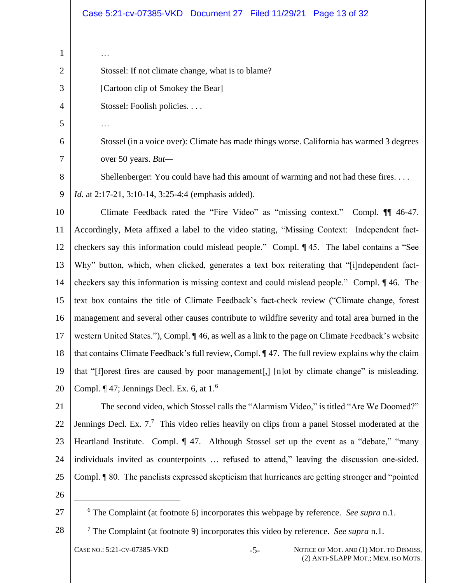| $\mathbf{1}$   | $\cdots$                                                                                                               |  |  |
|----------------|------------------------------------------------------------------------------------------------------------------------|--|--|
| $\overline{2}$ | Stossel: If not climate change, what is to blame?                                                                      |  |  |
| 3              | [Cartoon clip of Smokey the Bear]                                                                                      |  |  |
| 4              | Stossel: Foolish policies                                                                                              |  |  |
| 5              | .                                                                                                                      |  |  |
| 6              | Stossel (in a voice over): Climate has made things worse. California has warmed 3 degrees                              |  |  |
| $\overline{7}$ | over 50 years. But-                                                                                                    |  |  |
| 8              | Shellenberger: You could have had this amount of warming and not had these fires                                       |  |  |
| 9              | <i>Id.</i> at 2:17-21, 3:10-14, 3:25-4:4 (emphasis added).                                                             |  |  |
| 10             | Climate Feedback rated the "Fire Video" as "missing context." Compl. 11 46-47.                                         |  |  |
| 11             | Accordingly, Meta affixed a label to the video stating, "Missing Context: Independent fact-                            |  |  |
| 12             | checkers say this information could mislead people." Compl. ¶45. The label contains a "See                             |  |  |
| 13             | Why" button, which, when clicked, generates a text box reiterating that "[i]ndependent fact-                           |  |  |
| 14             | checkers say this information is missing context and could mislead people." Compl. 146. The                            |  |  |
| 15             | text box contains the title of Climate Feedback's fact-check review ("Climate change, forest                           |  |  |
| 16             | management and several other causes contribute to wildfire severity and total area burned in the                       |  |  |
| 17             | western United States."), Compl. 146, as well as a link to the page on Climate Feedback's website                      |  |  |
| 18             | that contains Climate Feedback's full review, Compl. ¶ 47. The full review explains why the claim                      |  |  |
| 19             | that "[f] orest fires are caused by poor management[,] [n] ot by climate change" is misleading.                        |  |  |
| 20             | Compl. $\P$ 47; Jennings Decl. Ex. 6, at 1. <sup>6</sup>                                                               |  |  |
| 21             | The second video, which Stossel calls the "Alarmism Video," is titled "Are We Doomed?"                                 |  |  |
| 22             | Jennings Decl. Ex. 7. <sup>7</sup> This video relies heavily on clips from a panel Stossel moderated at the            |  |  |
| 23             | Heartland Institute. Compl. ¶ 47. Although Stossel set up the event as a "debate," "many                               |  |  |
| 24             | individuals invited as counterpoints  refused to attend," leaving the discussion one-sided.                            |  |  |
| 25             | Compl. ¶ 80. The panelists expressed skepticism that hurricanes are getting stronger and "pointed"                     |  |  |
| 26             |                                                                                                                        |  |  |
| 27             | $6$ The Complaint (at footnote 6) incorporates this webpage by reference. See supra n.1.                               |  |  |
| 28             | $\frac{7}{7}$ The Complaint (at footnote 9) incorporates this video by reference. See supra n.1.                       |  |  |
|                | CASE NO.: 5:21-CV-07385-VKD<br>NOTICE OF MOT. AND (1) MOT. TO DISMISS,<br>$-5-$<br>(2) ANTI-SLAPP MOT.; MEM. ISO MOTS. |  |  |
|                |                                                                                                                        |  |  |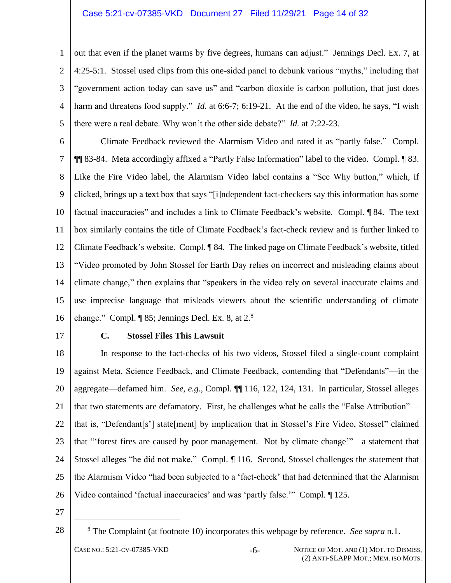#### Case 5:21-cv-07385-VKD Document 27 Filed 11/29/21 Page 14 of 32

1 2 3 4 5 out that even if the planet warms by five degrees, humans can adjust." Jennings Decl. Ex. 7, at 4:25-5:1. Stossel used clips from this one-sided panel to debunk various "myths," including that "government action today can save us" and "carbon dioxide is carbon pollution, that just does harm and threatens food supply." *Id.* at 6:6-7; 6:19-21. At the end of the video, he says, "I wish there were a real debate. Why won't the other side debate?" *Id.* at 7:22-23.

6 7 8 9 10 11 12 13 14 15 16 Climate Feedback reviewed the Alarmism Video and rated it as "partly false." Compl. ¶¶ 83-84. Meta accordingly affixed a "Partly False Information" label to the video. Compl. ¶ 83. Like the Fire Video label, the Alarmism Video label contains a "See Why button," which, if clicked, brings up a text box that says "[i]ndependent fact-checkers say this information has some factual inaccuracies" and includes a link to Climate Feedback's website. Compl. ¶ 84. The text box similarly contains the title of Climate Feedback's fact-check review and is further linked to Climate Feedback's website. Compl. ¶ 84. The linked page on Climate Feedback's website, titled "Video promoted by John Stossel for Earth Day relies on incorrect and misleading claims about climate change," then explains that "speakers in the video rely on several inaccurate claims and use imprecise language that misleads viewers about the scientific understanding of climate change." Compl.  $\P$  85; Jennings Decl. Ex. 8, at  $2.8$ 

<span id="page-13-0"></span>17

#### **C. Stossel Files This Lawsuit**

18 19 20 21 22 23 24 25 26 In response to the fact-checks of his two videos, Stossel filed a single-count complaint against Meta, Science Feedback, and Climate Feedback, contending that "Defendants"—in the aggregate—defamed him. *See, e.g.*, Compl. ¶¶ 116, 122, 124, 131. In particular, Stossel alleges that two statements are defamatory. First, he challenges what he calls the "False Attribution" that is, "Defendant[s'] state[ment] by implication that in Stossel's Fire Video, Stossel" claimed that "'forest fires are caused by poor management. Not by climate change'"—a statement that Stossel alleges "he did not make." Compl. ¶ 116. Second, Stossel challenges the statement that the Alarmism Video "had been subjected to a 'fact-check' that had determined that the Alarmism Video contained 'factual inaccuracies' and was 'partly false.'" Compl. ¶ 125.

- 27
- 28

<sup>8</sup> The Complaint (at footnote 10) incorporates this webpage by reference. *See supra* n.1.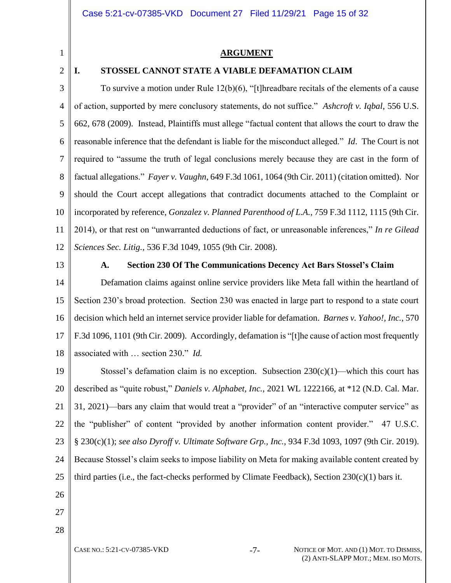<span id="page-14-0"></span>1

2

## <span id="page-14-7"></span><span id="page-14-6"></span><span id="page-14-3"></span>**ARGUMENT**

#### <span id="page-14-1"></span>**I. STOSSEL CANNOT STATE A VIABLE DEFAMATION CLAIM**

3 4 5 6 7 8 9 10 11 12 To survive a motion under Rule 12(b)(6), "[t]hreadbare recitals of the elements of a cause of action, supported by mere conclusory statements, do not suffice." *Ashcroft v. Iqbal*, 556 U.S. 662, 678 (2009). Instead, Plaintiffs must allege "factual content that allows the court to draw the reasonable inference that the defendant is liable for the misconduct alleged." *Id*. The Court is not required to "assume the truth of legal conclusions merely because they are cast in the form of factual allegations." *Fayer v. Vaughn*, 649 F.3d 1061, 1064 (9th Cir. 2011) (citation omitted). Nor should the Court accept allegations that contradict documents attached to the Complaint or incorporated by reference, *Gonzalez v. Planned Parenthood of L.A.*, 759 F.3d 1112, 1115 (9th Cir. 2014), or that rest on "unwarranted deductions of fact, or unreasonable inferences," *In re Gilead Sciences Sec. Litig.*, 536 F.3d 1049, 1055 (9th Cir. 2008).

<span id="page-14-2"></span>13

#### <span id="page-14-5"></span><span id="page-14-4"></span>**A. Section 230 Of The Communications Decency Act Bars Stossel's Claim**

14 15 16 17 18 Defamation claims against online service providers like Meta fall within the heartland of Section 230's broad protection. Section 230 was enacted in large part to respond to a state court decision which held an internet service provider liable for defamation. *Barnes v. Yahoo!, Inc.*, 570 F.3d 1096, 1101 (9th Cir. 2009). Accordingly, defamation is "[t]he cause of action most frequently associated with … section 230." *Id.*

19 20 21 22 23 24 25 Stossel's defamation claim is no exception. Subsection  $230(c)(1)$ —which this court has described as "quite robust," *Daniels v. Alphabet, Inc.*, 2021 WL 1222166, at \*12 (N.D. Cal. Mar. 31, 2021)—bars any claim that would treat a "provider" of an "interactive computer service" as the "publisher" of content "provided by another information content provider." 47 U.S.C. § 230(c)(1); *see also Dyroff v. Ultimate Software Grp., Inc.*, 934 F.3d 1093, 1097 (9th Cir. 2019). Because Stossel's claim seeks to impose liability on Meta for making available content created by third parties (i.e., the fact-checks performed by Climate Feedback), Section  $230(c)(1)$  bars it.

26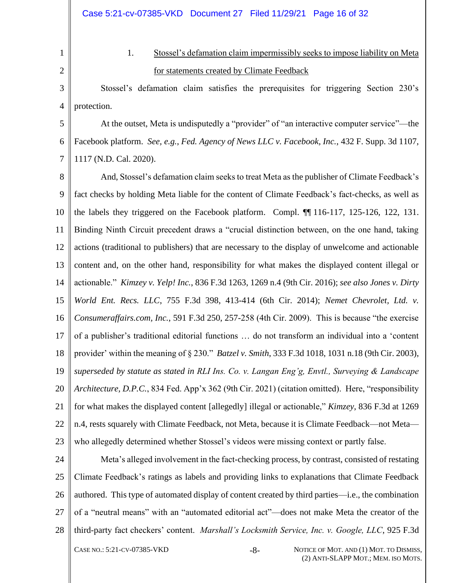2

<span id="page-15-0"></span>1

1. Stossel's defamation claim impermissibly seeks to impose liability on Meta for statements created by Climate Feedback

3 4 Stossel's defamation claim satisfies the prerequisites for triggering Section 230's protection.

5 6 7 At the outset, Meta is undisputedly a "provider" of "an interactive computer service"—the Facebook platform. *See, e.g.*, *Fed. Agency of News LLC v. Facebook, Inc.*, 432 F. Supp. 3d 1107, 1117 (N.D. Cal. 2020).

<span id="page-15-1"></span>8 9 10 11 12 13 14 15 16 17 18 19 20 21 22 23 And, Stossel's defamation claim seeks to treat Meta as the publisher of Climate Feedback's fact checks by holding Meta liable for the content of Climate Feedback's fact-checks, as well as the labels they triggered on the Facebook platform. Compl. ¶¶ 116-117, 125-126, 122, 131. Binding Ninth Circuit precedent draws a "crucial distinction between, on the one hand, taking actions (traditional to publishers) that are necessary to the display of unwelcome and actionable content and, on the other hand, responsibility for what makes the displayed content illegal or actionable." *Kimzey v. Yelp! Inc.*, 836 F.3d 1263, 1269 n.4 (9th Cir. 2016); *see also Jones v. Dirty World Ent. Recs. LLC*, 755 F.3d 398, 413-414 (6th Cir. 2014); *Nemet Chevrolet, Ltd. v. Consumeraffairs.com, Inc.*, 591 F.3d 250, 257-258 (4th Cir. 2009). This is because "the exercise of a publisher's traditional editorial functions … do not transform an individual into a 'content provider' within the meaning of § 230." *Batzel v. Smith*, 333 F.3d 1018, 1031 n.18 (9th Cir. 2003), *superseded by statute as stated in RLI Ins. Co. v. Langan Eng'g, Envtl., Surveying & Landscape Architecture, D.P.C.*, 834 Fed. App'x 362 (9th Cir. 2021) (citation omitted). Here, "responsibility for what makes the displayed content [allegedly] illegal or actionable," *Kimzey*, 836 F.3d at 1269 n.4, rests squarely with Climate Feedback, not Meta, because it is Climate Feedback—not Meta who allegedly determined whether Stossel's videos were missing context or partly false.

24 25 26 27 28 Meta's alleged involvement in the fact-checking process, by contrast, consisted of restating Climate Feedback's ratings as labels and providing links to explanations that Climate Feedback authored. This type of automated display of content created by third parties—i.e., the combination of a "neutral means" with an "automated editorial act"—does not make Meta the creator of the third-party fact checkers' content. *Marshall's Locksmith Service, Inc. v. Google, LLC*, 925 F.3d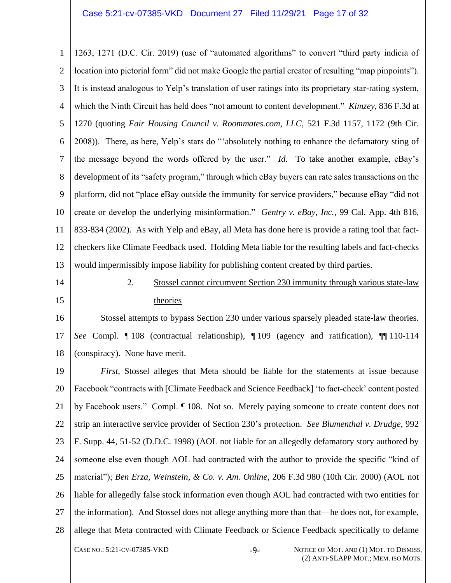1  $\mathcal{L}$ 3 4 5 6 7 8 9 10 11 12 13 1263, 1271 (D.C. Cir. 2019) (use of "automated algorithms" to convert "third party indicia of location into pictorial form" did not make Google the partial creator of resulting "map pinpoints"). It is instead analogous to Yelp's translation of user ratings into its proprietary star-rating system, which the Ninth Circuit has held does "not amount to content development." *Kimzey*, 836 F.3d at 1270 (quoting *Fair Housing Council v. Roommates.com, LLC*, 521 F.3d 1157, 1172 (9th Cir. 2008)). There, as here, Yelp's stars do "'absolutely nothing to enhance the defamatory sting of the message beyond the words offered by the user." *Id.* To take another example, eBay's development of its "safety program," through which eBay buyers can rate sales transactions on the platform, did not "place eBay outside the immunity for service providers," because eBay "did not create or develop the underlying misinformation." *Gentry v. eBay, Inc.*, 99 Cal. App. 4th 816, 833-834 (2002). As with Yelp and eBay, all Meta has done here is provide a rating tool that factcheckers like Climate Feedback used. Holding Meta liable for the resulting labels and fact-checks would impermissibly impose liability for publishing content created by third parties.

<span id="page-16-0"></span>14

15

## 2. Stossel cannot circumvent Section 230 immunity through various state-law theories

16 17 18 Stossel attempts to bypass Section 230 under various sparsely pleaded state-law theories. *See* Compl. ¶ 108 (contractual relationship), ¶ 109 (agency and ratification), ¶¶ 110-114 (conspiracy). None have merit.

19 20 21 22 23 24 25 26 27 28 CASE NO.: 5:21-CV-07385-VKD -9- NOTICE OF MOT. AND (1) MOT. TO DISMISS, *First*, Stossel alleges that Meta should be liable for the statements at issue because Facebook "contracts with [Climate Feedback and Science Feedback] 'to fact-check' content posted by Facebook users." Compl. ¶ 108. Not so. Merely paying someone to create content does not strip an interactive service provider of Section 230's protection. *See Blumenthal v. Drudge*, 992 F. Supp. 44, 51-52 (D.D.C. 1998) (AOL not liable for an allegedly defamatory story authored by someone else even though AOL had contracted with the author to provide the specific "kind of material"); *Ben Erza, Weinstein, & Co. v. Am. Online*, 206 F.3d 980 (10th Cir. 2000) (AOL not liable for allegedly false stock information even though AOL had contracted with two entities for the information). And Stossel does not allege anything more than that—he does not, for example, allege that Meta contracted with Climate Feedback or Science Feedback specifically to defame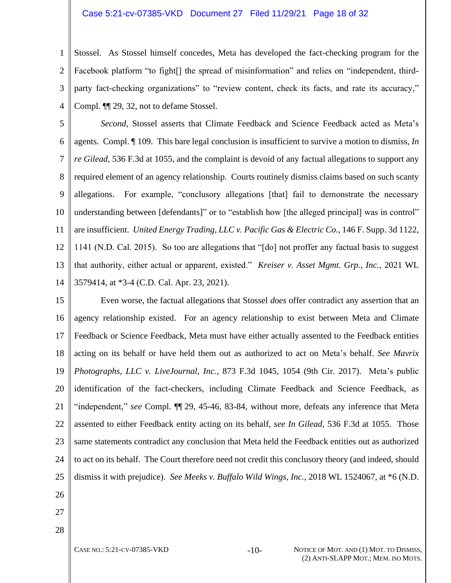#### Case 5:21-cv-07385-VKD Document 27 Filed 11/29/21 Page 18 of 32

1  $\mathcal{L}$ 3 4 Stossel. As Stossel himself concedes, Meta has developed the fact-checking program for the Facebook platform "to fight[] the spread of misinformation" and relies on "independent, thirdparty fact-checking organizations" to "review content, check its facts, and rate its accuracy," Compl. ¶¶ 29, 32, not to defame Stossel.

5 6 7 8 9 10 11 12 13 14 *Second*, Stossel asserts that Climate Feedback and Science Feedback acted as Meta's agents. Compl. ¶ 109. This bare legal conclusion is insufficient to survive a motion to dismiss, *In re Gilead*, 536 F.3d at 1055, and the complaint is devoid of any factual allegations to support any required element of an agency relationship. Courts routinely dismiss claims based on such scanty allegations. For example, "conclusory allegations [that] fail to demonstrate the necessary understanding between [defendants]" or to "establish how [the alleged principal] was in control" are insufficient. *United Energy Trading, LLC v. Pacific Gas & Electric Co.*, 146 F. Supp. 3d 1122, 1141 (N.D. Cal. 2015). So too are allegations that "[do] not proffer any factual basis to suggest that authority, either actual or apparent, existed." *Kreiser v. Asset Mgmt. Grp., Inc.*, 2021 WL 3579414, at \*3-4 (C.D. Cal. Apr. 23, 2021).

15 16 17 18 19 20 21 22 23 24 25 Even worse, the factual allegations that Stossel *does* offer contradict any assertion that an agency relationship existed. For an agency relationship to exist between Meta and Climate Feedback or Science Feedback, Meta must have either actually assented to the Feedback entities acting on its behalf or have held them out as authorized to act on Meta's behalf. *See Mavrix Photographs, LLC v. LiveJournal, Inc.*, 873 F.3d 1045, 1054 (9th Cir. 2017). Meta's public identification of the fact-checkers, including Climate Feedback and Science Feedback, as "independent," *see* Compl. ¶¶ 29, 45-46, 83-84, without more, defeats any inference that Meta assented to either Feedback entity acting on its behalf, *see In Gilead*, 536 F.3d at 1055. Those same statements contradict any conclusion that Meta held the Feedback entities out as authorized to act on its behalf. The Court therefore need not credit this conclusory theory (and indeed, should dismiss it with prejudice). *See Meeks v. Buffalo Wild Wings, Inc.*, 2018 WL 1524067, at \*6 (N.D.

26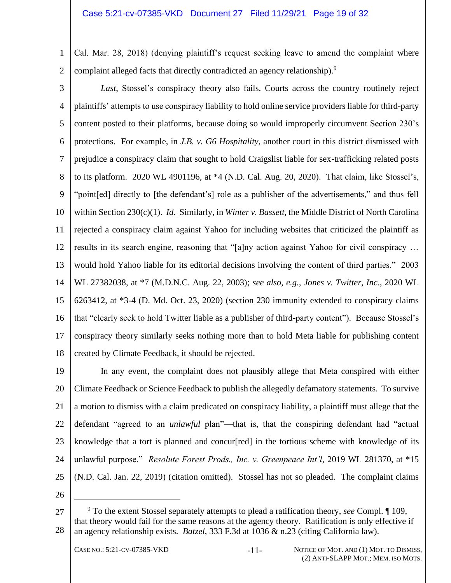1 2 Cal. Mar. 28, 2018) (denying plaintiff's request seeking leave to amend the complaint where complaint alleged facts that directly contradicted an agency relationship).<sup>9</sup>

3 4 5 6 7 8 9 10 11 12 13 14 15 16 17 18 *Last*, Stossel's conspiracy theory also fails. Courts across the country routinely reject plaintiffs' attempts to use conspiracy liability to hold online service providers liable for third-party content posted to their platforms, because doing so would improperly circumvent Section 230's protections. For example, in *J.B. v. G6 Hospitality*, another court in this district dismissed with prejudice a conspiracy claim that sought to hold Craigslist liable for sex-trafficking related posts to its platform. 2020 WL 4901196, at \*4 (N.D. Cal. Aug. 20, 2020). That claim, like Stossel's, "point[ed] directly to [the defendant's] role as a publisher of the advertisements," and thus fell within Section 230(c)(1). *Id.* Similarly, in *Winter v. Bassett*, the Middle District of North Carolina rejected a conspiracy claim against Yahoo for including websites that criticized the plaintiff as results in its search engine, reasoning that "[a]ny action against Yahoo for civil conspiracy … would hold Yahoo liable for its editorial decisions involving the content of third parties." 2003 WL 27382038, at \*7 (M.D.N.C. Aug. 22, 2003); *see also, e.g., Jones v. Twitter, Inc.*, 2020 WL 6263412, at \*3-4 (D. Md. Oct. 23, 2020) (section 230 immunity extended to conspiracy claims that "clearly seek to hold Twitter liable as a publisher of third-party content"). Because Stossel's conspiracy theory similarly seeks nothing more than to hold Meta liable for publishing content created by Climate Feedback, it should be rejected.

19 20 21 22 23 24 25 In any event, the complaint does not plausibly allege that Meta conspired with either Climate Feedback or Science Feedback to publish the allegedly defamatory statements. To survive a motion to dismiss with a claim predicated on conspiracy liability, a plaintiff must allege that the defendant "agreed to an *unlawful* plan"—that is, that the conspiring defendant had "actual knowledge that a tort is planned and concure  $\lceil \text{red} \rceil$  in the tortious scheme with knowledge of its unlawful purpose." *Resolute Forest Prods., Inc. v. Greenpeace Int'l*, 2019 WL 281370, at \*15 (N.D. Cal. Jan. 22, 2019) (citation omitted). Stossel has not so pleaded. The complaint claims

<span id="page-18-0"></span><sup>27</sup> 28 <sup>9</sup> To the extent Stossel separately attempts to plead a ratification theory, *see* Compl. ¶ 109, that theory would fail for the same reasons at the agency theory. Ratification is only effective if an agency relationship exists. *Batzel*, 333 F.3d at 1036 & n.23 (citing California law).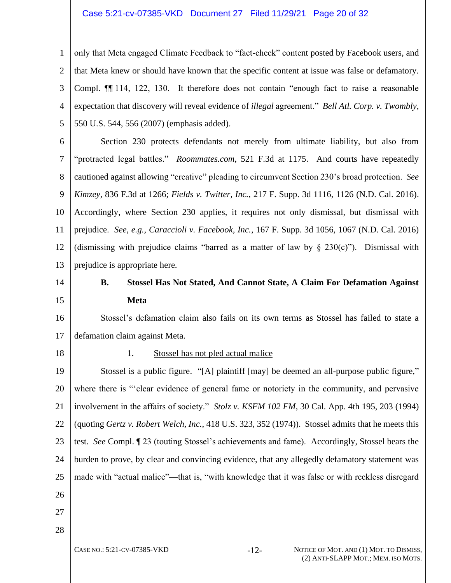#### Case 5:21-cv-07385-VKD Document 27 Filed 11/29/21 Page 20 of 32

1 2 3 4 5 only that Meta engaged Climate Feedback to "fact-check" content posted by Facebook users, and that Meta knew or should have known that the specific content at issue was false or defamatory. Compl. ¶¶ 114, 122, 130. It therefore does not contain "enough fact to raise a reasonable expectation that discovery will reveal evidence of *illegal* agreement." *Bell Atl. Corp. v. Twombly*, 550 U.S. 544, 556 (2007) (emphasis added).

6 7 8 9 10 11 12 13 Section 230 protects defendants not merely from ultimate liability, but also from "protracted legal battles." *Roommates.com*, 521 F.3d at 1175. And courts have repeatedly cautioned against allowing "creative" pleading to circumvent Section 230's broad protection. *See Kimzey*, 836 F.3d at 1266; *Fields v. Twitter, Inc.*, 217 F. Supp. 3d 1116, 1126 (N.D. Cal. 2016). Accordingly, where Section 230 applies, it requires not only dismissal, but dismissal with prejudice. *See, e.g., Caraccioli v. Facebook, Inc.*, 167 F. Supp. 3d 1056, 1067 (N.D. Cal. 2016) (dismissing with prejudice claims "barred as a matter of law by  $\S$  230(c)"). Dismissal with prejudice is appropriate here.

<span id="page-19-0"></span>14

15

## **B. Stossel Has Not Stated, And Cannot State, A Claim For Defamation Against Meta**

16 17 Stossel's defamation claim also fails on its own terms as Stossel has failed to state a defamation claim against Meta.

<span id="page-19-1"></span>18

#### 1. Stossel has not pled actual malice

19 20 21 22 23 24 25 26 27 Stossel is a public figure. "[A] plaintiff [may] be deemed an all-purpose public figure," where there is "'clear evidence of general fame or notoriety in the community, and pervasive involvement in the affairs of society." *Stolz v. KSFM 102 FM*, 30 Cal. App. 4th 195, 203 (1994) (quoting *Gertz v. Robert Welch, Inc.*, 418 U.S. 323, 352 (1974)). Stossel admits that he meets this test. *See* Compl. ¶ 23 (touting Stossel's achievements and fame). Accordingly, Stossel bears the burden to prove, by clear and convincing evidence, that any allegedly defamatory statement was made with "actual malice"—that is, "with knowledge that it was false or with reckless disregard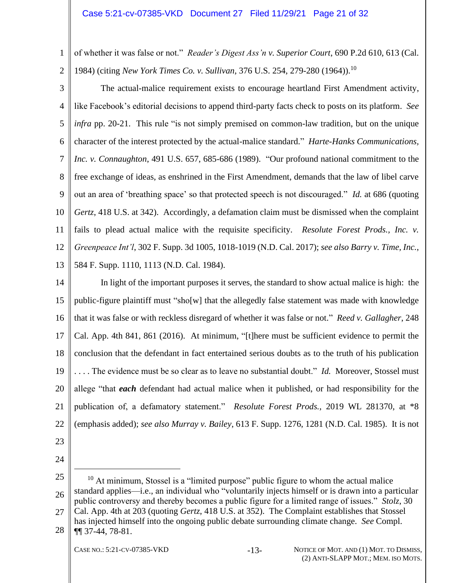1 2 of whether it was false or not." *Reader's Digest Ass'n v. Superior Court*, 690 P.2d 610, 613 (Cal. 1984) (citing *New York Times Co. v. Sullivan*, 376 U.S. 254, 279-280 (1964)). 10

3

4 5 6 7 8 9 10 11 12 13 The actual-malice requirement exists to encourage heartland First Amendment activity, like Facebook's editorial decisions to append third-party facts check to posts on its platform. *See infra* pp. 20-21. This rule "is not simply premised on common-law tradition, but on the unique character of the interest protected by the actual-malice standard." *Harte-Hanks Communications, Inc. v. Connaughton*, 491 U.S. 657, 685-686 (1989). "Our profound national commitment to the free exchange of ideas, as enshrined in the First Amendment, demands that the law of libel carve out an area of 'breathing space' so that protected speech is not discouraged." *Id.* at 686 (quoting *Gertz*, 418 U.S. at 342). Accordingly, a defamation claim must be dismissed when the complaint fails to plead actual malice with the requisite specificity. *Resolute Forest Prods., Inc. v. Greenpeace Int'l*, 302 F. Supp. 3d 1005, 1018-1019 (N.D. Cal. 2017); *see also Barry v. Time, Inc.*, 584 F. Supp. 1110, 1113 (N.D. Cal. 1984).

14 15 16 17 18 19 20 21 22 In light of the important purposes it serves, the standard to show actual malice is high: the public-figure plaintiff must "sho[w] that the allegedly false statement was made with knowledge that it was false or with reckless disregard of whether it was false or not." *Reed v. Gallagher*, 248 Cal. App. 4th 841, 861 (2016). At minimum, "[t]here must be sufficient evidence to permit the conclusion that the defendant in fact entertained serious doubts as to the truth of his publication . . . . The evidence must be so clear as to leave no substantial doubt." *Id.* Moreover, Stossel must allege "that *each* defendant had actual malice when it published, or had responsibility for the publication of, a defamatory statement." *Resolute Forest Prods.*, 2019 WL 281370, at \*8 (emphasis added); *see also Murray v. Bailey*, 613 F. Supp. 1276, 1281 (N.D. Cal. 1985). It is not

- 23
- 24

28 has injected himself into the ongoing public debate surrounding climate change. *See* Compl. ¶¶ 37-44, 78-81.

<sup>25</sup> 26 27  $10$  At minimum, Stossel is a "limited purpose" public figure to whom the actual malice standard applies—i.e., an individual who "voluntarily injects himself or is drawn into a particular public controversy and thereby becomes a public figure for a limited range of issues." *Stolz*, 30 Cal. App. 4th at 203 (quoting *Gertz*, 418 U.S. at 352). The Complaint establishes that Stossel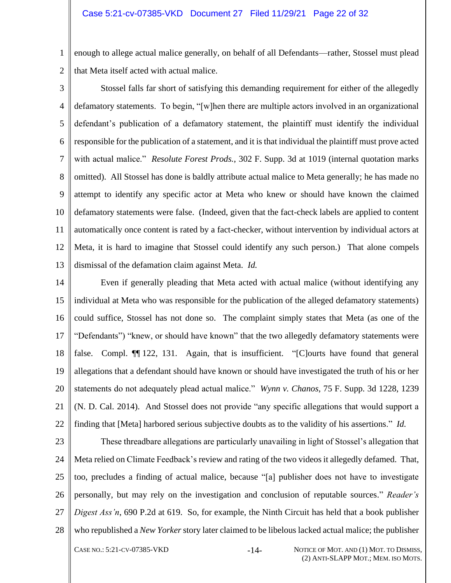1 2 enough to allege actual malice generally, on behalf of all Defendants—rather, Stossel must plead that Meta itself acted with actual malice.

3

4 5 6 7 8 9 10 11 12 13 Stossel falls far short of satisfying this demanding requirement for either of the allegedly defamatory statements. To begin, "[w]hen there are multiple actors involved in an organizational defendant's publication of a defamatory statement, the plaintiff must identify the individual responsible for the publication of a statement, and it is that individual the plaintiff must prove acted with actual malice." *Resolute Forest Prods.*, 302 F. Supp. 3d at 1019 (internal quotation marks omitted). All Stossel has done is baldly attribute actual malice to Meta generally; he has made no attempt to identify any specific actor at Meta who knew or should have known the claimed defamatory statements were false. (Indeed, given that the fact-check labels are applied to content automatically once content is rated by a fact-checker, without intervention by individual actors at Meta, it is hard to imagine that Stossel could identify any such person.) That alone compels dismissal of the defamation claim against Meta. *Id.*

14 15 16 17 18 19 20 21 22 Even if generally pleading that Meta acted with actual malice (without identifying any individual at Meta who was responsible for the publication of the alleged defamatory statements) could suffice, Stossel has not done so. The complaint simply states that Meta (as one of the "Defendants") "knew, or should have known" that the two allegedly defamatory statements were false. Compl. ¶¶ 122, 131. Again, that is insufficient. "[C]ourts have found that general allegations that a defendant should have known or should have investigated the truth of his or her statements do not adequately plead actual malice." *Wynn v. Chanos*, 75 F. Supp. 3d 1228, 1239 (N. D. Cal. 2014). And Stossel does not provide "any specific allegations that would support a finding that [Meta] harbored serious subjective doubts as to the validity of his assertions." *Id.*

23 24 25 26 27 28 These threadbare allegations are particularly unavailing in light of Stossel's allegation that Meta relied on Climate Feedback's review and rating of the two videos it allegedly defamed. That, too, precludes a finding of actual malice, because "[a] publisher does not have to investigate personally, but may rely on the investigation and conclusion of reputable sources." *Reader's Digest Ass'n*, 690 P.2d at 619. So, for example, the Ninth Circuit has held that a book publisher who republished a *New Yorker* story later claimed to be libelous lacked actual malice; the publisher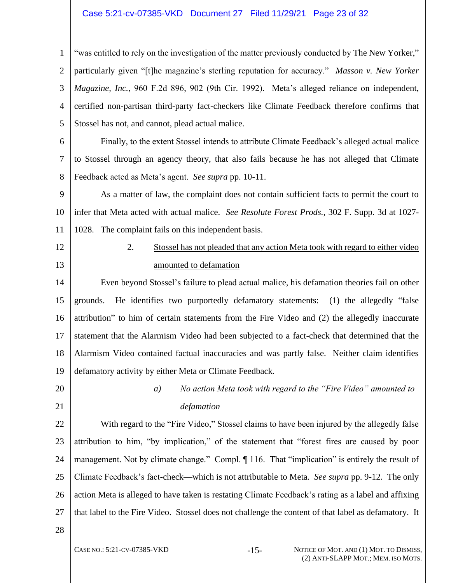#### Case 5:21-cv-07385-VKD Document 27 Filed 11/29/21 Page 23 of 32

1 2 3 4 5 "was entitled to rely on the investigation of the matter previously conducted by The New Yorker," particularly given "[t]he magazine's sterling reputation for accuracy." *Masson v. New Yorker Magazine, Inc.*, 960 F.2d 896, 902 (9th Cir. 1992). Meta's alleged reliance on independent, certified non-partisan third-party fact-checkers like Climate Feedback therefore confirms that Stossel has not, and cannot, plead actual malice.

6 7 8 Finally, to the extent Stossel intends to attribute Climate Feedback's alleged actual malice to Stossel through an agency theory, that also fails because he has not alleged that Climate Feedback acted as Meta's agent. *See supra* pp. 10-11.

9 10 11 As a matter of law, the complaint does not contain sufficient facts to permit the court to infer that Meta acted with actual malice. *See Resolute Forest Prods.*, 302 F. Supp. 3d at 1027- 1028. The complaint fails on this independent basis.

<span id="page-22-0"></span>12

13

2. Stossel has not pleaded that any action Meta took with regard to either video amounted to defamation

14 15 16 17 18 19 Even beyond Stossel's failure to plead actual malice, his defamation theories fail on other grounds. He identifies two purportedly defamatory statements: (1) the allegedly "false attribution" to him of certain statements from the Fire Video and (2) the allegedly inaccurate statement that the Alarmism Video had been subjected to a fact-check that determined that the Alarmism Video contained factual inaccuracies and was partly false. Neither claim identifies defamatory activity by either Meta or Climate Feedback.

<span id="page-22-1"></span>20 21 *a) No action Meta took with regard to the "Fire Video" amounted to defamation*

22 23 24 25 26 27 With regard to the "Fire Video," Stossel claims to have been injured by the allegedly false attribution to him, "by implication," of the statement that "forest fires are caused by poor management. Not by climate change." Compl.  $\P$  116. That "implication" is entirely the result of Climate Feedback's fact-check—which is not attributable to Meta. *See supra* pp. 9-12. The only action Meta is alleged to have taken is restating Climate Feedback's rating as a label and affixing that label to the Fire Video. Stossel does not challenge the content of that label as defamatory. It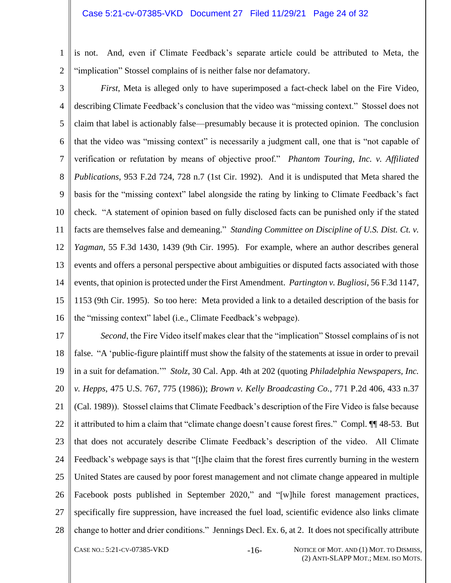1 2 is not. And, even if Climate Feedback's separate article could be attributed to Meta, the "implication" Stossel complains of is neither false nor defamatory.

3 4 5 6 7 8 9 10 11 12 13 14 15 16 *First*, Meta is alleged only to have superimposed a fact-check label on the Fire Video, describing Climate Feedback's conclusion that the video was "missing context." Stossel does not claim that label is actionably false—presumably because it is protected opinion. The conclusion that the video was "missing context" is necessarily a judgment call, one that is "not capable of verification or refutation by means of objective proof." *Phantom Touring, Inc. v. Affiliated Publications*, 953 F.2d 724, 728 n.7 (1st Cir. 1992). And it is undisputed that Meta shared the basis for the "missing context" label alongside the rating by linking to Climate Feedback's fact check. "A statement of opinion based on fully disclosed facts can be punished only if the stated facts are themselves false and demeaning." *Standing Committee on Discipline of U.S. Dist. Ct. v. Yagman*, 55 F.3d 1430, 1439 (9th Cir. 1995). For example, where an author describes general events and offers a personal perspective about ambiguities or disputed facts associated with those events, that opinion is protected under the First Amendment. *Partington v. Bugliosi*, 56 F.3d 1147, 1153 (9th Cir. 1995). So too here: Meta provided a link to a detailed description of the basis for the "missing context" label (i.e., Climate Feedback's webpage).

17 18 19 20 21 22 23 24 25 26 27 28 *Second*, the Fire Video itself makes clear that the "implication" Stossel complains of is not false. "A 'public-figure plaintiff must show the falsity of the statements at issue in order to prevail in a suit for defamation.'" *Stolz*, 30 Cal. App. 4th at 202 (quoting *Philadelphia Newspapers, Inc. v. Hepps*, 475 U.S. 767, 775 (1986)); *Brown v. Kelly Broadcasting Co.*, 771 P.2d 406, 433 n.37 (Cal. 1989)). Stossel claims that Climate Feedback's description of the Fire Video is false because it attributed to him a claim that "climate change doesn't cause forest fires." Compl. ¶¶ 48-53. But that does not accurately describe Climate Feedback's description of the video. All Climate Feedback's webpage says is that "[t]he claim that the forest fires currently burning in the western United States are caused by poor forest management and not climate change appeared in multiple Facebook posts published in September 2020," and "[w]hile forest management practices, specifically fire suppression, have increased the fuel load, scientific evidence also links climate change to hotter and drier conditions." Jennings Decl. Ex. 6, at 2. It does not specifically attribute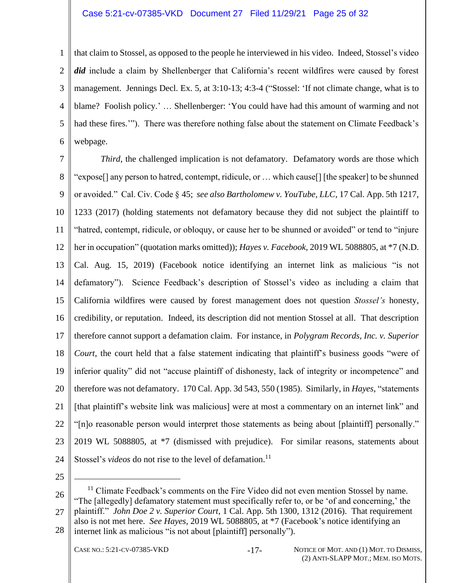#### Case 5:21-cv-07385-VKD Document 27 Filed 11/29/21 Page 25 of 32

1 2 3 4 5 6 that claim to Stossel, as opposed to the people he interviewed in his video. Indeed, Stossel's video *did* include a claim by Shellenberger that California's recent wildfires were caused by forest management. Jennings Decl. Ex. 5, at 3:10-13; 4:3-4 ("Stossel: 'If not climate change, what is to blame? Foolish policy.' … Shellenberger: 'You could have had this amount of warming and not had these fires.'"). There was therefore nothing false about the statement on Climate Feedback's webpage.

7 8 9 10 11 12 13 14 15 16 17 18 19 20 21 22 23 24 *Third*, the challenged implication is not defamatory. Defamatory words are those which "expose[] any person to hatred, contempt, ridicule, or … which cause[] [the speaker] to be shunned or avoided." Cal. Civ. Code § 45; *see also Bartholomew v. YouTube, LLC*, 17 Cal. App. 5th 1217, 1233 (2017) (holding statements not defamatory because they did not subject the plaintiff to "hatred, contempt, ridicule, or obloquy, or cause her to be shunned or avoided" or tend to "injure her in occupation" (quotation marks omitted)); *Hayes v. Facebook*, 2019 WL 5088805, at \*7 (N.D. Cal. Aug. 15, 2019) (Facebook notice identifying an internet link as malicious "is not defamatory"). Science Feedback's description of Stossel's video as including a claim that California wildfires were caused by forest management does not question *Stossel's* honesty, credibility, or reputation. Indeed, its description did not mention Stossel at all. That description therefore cannot support a defamation claim. For instance, in *Polygram Records, Inc. v. Superior Court*, the court held that a false statement indicating that plaintiff's business goods "were of inferior quality" did not "accuse plaintiff of dishonesty, lack of integrity or incompetence" and therefore was not defamatory. 170 Cal. App. 3d 543, 550 (1985). Similarly, in *Hayes*, "statements [that plaintiff's website link was malicious] were at most a commentary on an internet link" and "[n]o reasonable person would interpret those statements as being about [plaintiff] personally." 2019 WL 5088805, at \*7 (dismissed with prejudice). For similar reasons, statements about Stossel's *videos* do not rise to the level of defamation.<sup>11</sup>

25

26 27 28  $11$  Climate Feedback's comments on the Fire Video did not even mention Stossel by name. "The [allegedly] defamatory statement must specifically refer to, or be 'of and concerning,' the plaintiff." *John Doe 2 v. Superior Court*, 1 Cal. App. 5th 1300, 1312 (2016). That requirement also is not met here. *See Hayes*, 2019 WL 5088805, at \*7 (Facebook's notice identifying an internet link as malicious "is not about [plaintiff] personally").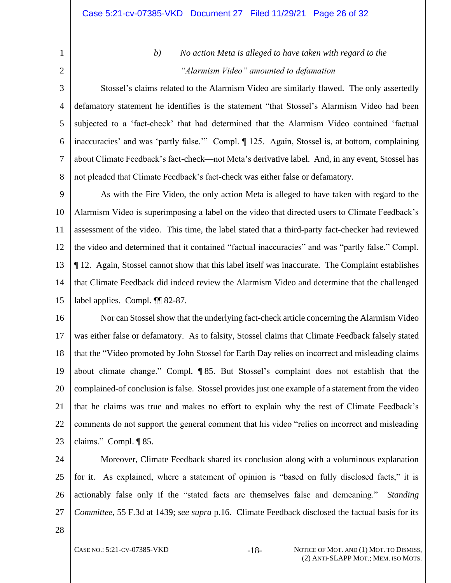# <span id="page-25-0"></span>1 2

## *b) No action Meta is alleged to have taken with regard to the "Alarmism Video" amounted to defamation*

3 4 5 6 7 8 Stossel's claims related to the Alarmism Video are similarly flawed. The only assertedly defamatory statement he identifies is the statement "that Stossel's Alarmism Video had been subjected to a 'fact-check' that had determined that the Alarmism Video contained 'factual inaccuracies' and was 'partly false.'" Compl. ¶ 125. Again, Stossel is, at bottom, complaining about Climate Feedback's fact-check—not Meta's derivative label. And, in any event, Stossel has not pleaded that Climate Feedback's fact-check was either false or defamatory.

9 10 11 12 13 14 15 As with the Fire Video, the only action Meta is alleged to have taken with regard to the Alarmism Video is superimposing a label on the video that directed users to Climate Feedback's assessment of the video. This time, the label stated that a third-party fact-checker had reviewed the video and determined that it contained "factual inaccuracies" and was "partly false." Compl. ¶ 12. Again, Stossel cannot show that this label itself was inaccurate. The Complaint establishes that Climate Feedback did indeed review the Alarmism Video and determine that the challenged label applies. Compl. ¶¶ 82-87.

16 17 18 19 20 21 22 23 Nor can Stossel show that the underlying fact-check article concerning the Alarmism Video was either false or defamatory. As to falsity, Stossel claims that Climate Feedback falsely stated that the "Video promoted by John Stossel for Earth Day relies on incorrect and misleading claims about climate change." Compl. ¶ 85. But Stossel's complaint does not establish that the complained-of conclusion is false. Stossel provides just one example of a statement from the video that he claims was true and makes no effort to explain why the rest of Climate Feedback's comments do not support the general comment that his video "relies on incorrect and misleading claims." Compl. ¶ 85.

24 25 26 27 Moreover, Climate Feedback shared its conclusion along with a voluminous explanation for it. As explained, where a statement of opinion is "based on fully disclosed facts," it is actionably false only if the "stated facts are themselves false and demeaning." *Standing Committee*, 55 F.3d at 1439; *see supra* p.16. Climate Feedback disclosed the factual basis for its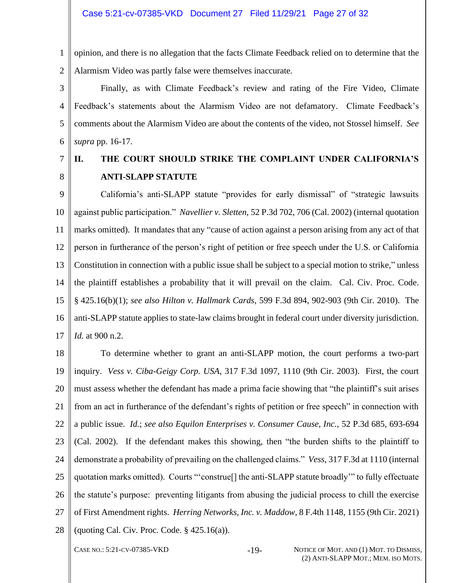1 2 opinion, and there is no allegation that the facts Climate Feedback relied on to determine that the Alarmism Video was partly false were themselves inaccurate.

3 4 5 6 Finally, as with Climate Feedback's review and rating of the Fire Video, Climate Feedback's statements about the Alarmism Video are not defamatory. Climate Feedback's comments about the Alarmism Video are about the contents of the video, not Stossel himself. *See supra* pp. 16-17.

## 7 8

## <span id="page-26-3"></span><span id="page-26-0"></span>**II. THE COURT SHOULD STRIKE THE COMPLAINT UNDER CALIFORNIA'S ANTI-SLAPP STATUTE**

9 10 11 12 13 14 15 16 17 California's anti-SLAPP statute "provides for early dismissal" of "strategic lawsuits against public participation." *Navellier v. Sletten*, 52 P.3d 702, 706 (Cal. 2002) (internal quotation marks omitted). It mandates that any "cause of action against a person arising from any act of that person in furtherance of the person's right of petition or free speech under the U.S. or California Constitution in connection with a public issue shall be subject to a special motion to strike," unless the plaintiff establishes a probability that it will prevail on the claim. Cal. Civ. Proc. Code. § 425.16(b)(1); *see also Hilton v. Hallmark Cards*, 599 F.3d 894, 902-903 (9th Cir. 2010). The anti-SLAPP statute applies to state-law claims brought in federal court under diversity jurisdiction. *Id.* at 900 n.2.

<span id="page-26-4"></span><span id="page-26-2"></span><span id="page-26-1"></span>18 19 20 21 22 23 24 25 26 27 28 To determine whether to grant an anti-SLAPP motion, the court performs a two-part inquiry. *Vess v. Ciba-Geigy Corp. USA*, 317 F.3d 1097, 1110 (9th Cir. 2003). First, the court must assess whether the defendant has made a prima facie showing that "the plaintiff's suit arises from an act in furtherance of the defendant's rights of petition or free speech" in connection with a public issue. *Id.*; *see also Equilon Enterprises v. Consumer Cause, Inc.*, 52 P.3d 685, 693-694 (Cal. 2002). If the defendant makes this showing, then "the burden shifts to the plaintiff to demonstrate a probability of prevailing on the challenged claims." *Vess*, 317 F.3d at 1110 (internal quotation marks omitted). Courts "'construe[] the anti-SLAPP statute broadly'" to fully effectuate the statute's purpose: preventing litigants from abusing the judicial process to chill the exercise of First Amendment rights. *Herring Networks, Inc. v. Maddow*, 8 F.4th 1148, 1155 (9th Cir. 2021) (quoting Cal. Civ. Proc. Code. § 425.16(a)).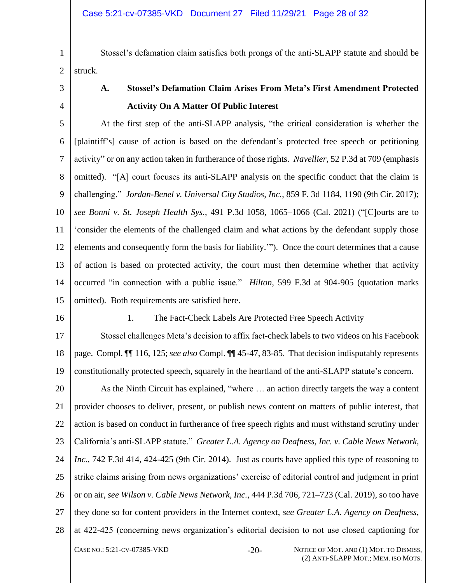Stossel's defamation claim satisfies both prongs of the anti-SLAPP statute and should be struck.

<span id="page-27-0"></span>3

1

2

4

## <span id="page-27-2"></span>**A. Stossel's Defamation Claim Arises From Meta's First Amendment Protected Activity On A Matter Of Public Interest**

5 6 7 8 9 10 11 12 13 14 15 At the first step of the anti-SLAPP analysis, "the critical consideration is whether the [plaintiff's] cause of action is based on the defendant's protected free speech or petitioning activity" or on any action taken in furtherance of those rights. *Navellier*, 52 P.3d at 709 (emphasis omitted). "[A] court focuses its anti-SLAPP analysis on the specific conduct that the claim is challenging." *Jordan-Benel v. Universal City Studios, Inc.*, 859 F. 3d 1184, 1190 (9th Cir. 2017); *see Bonni v. St. Joseph Health Sys.*, 491 P.3d 1058, 1065–1066 (Cal. 2021) ("[C]ourts are to 'consider the elements of the challenged claim and what actions by the defendant supply those elements and consequently form the basis for liability.'"). Once the court determines that a cause of action is based on protected activity, the court must then determine whether that activity occurred "in connection with a public issue." *Hilton*, 599 F.3d at 904-905 (quotation marks omitted). Both requirements are satisfied here.

<span id="page-27-1"></span>16

#### 1. The Fact-Check Labels Are Protected Free Speech Activity

17 18 19 Stossel challenges Meta's decision to affix fact-check labels to two videos on his Facebook page. Compl. ¶¶ 116, 125; *see also* Compl. ¶¶ 45-47, 83-85. That decision indisputably represents constitutionally protected speech, squarely in the heartland of the anti-SLAPP statute's concern.

<span id="page-27-3"></span>20 21 22 23 24 25 26 27 28 CASE NO.: 5:21-CV-07385-VKD -20- NOTICE OF MOT. AND (1) MOT. TO DISMISS, As the Ninth Circuit has explained, "where … an action directly targets the way a content provider chooses to deliver, present, or publish news content on matters of public interest, that action is based on conduct in furtherance of free speech rights and must withstand scrutiny under California's anti-SLAPP statute." *Greater L.A. Agency on Deafness, Inc. v. Cable News Network, Inc.*, 742 F.3d 414, 424-425 (9th Cir. 2014). Just as courts have applied this type of reasoning to strike claims arising from news organizations' exercise of editorial control and judgment in print or on air, *see Wilson v. Cable News Network, Inc.*, 444 P.3d 706, 721–723 (Cal. 2019), so too have they done so for content providers in the Internet context, *see Greater L.A. Agency on Deafness*, at 422-425 (concerning news organization's editorial decision to not use closed captioning for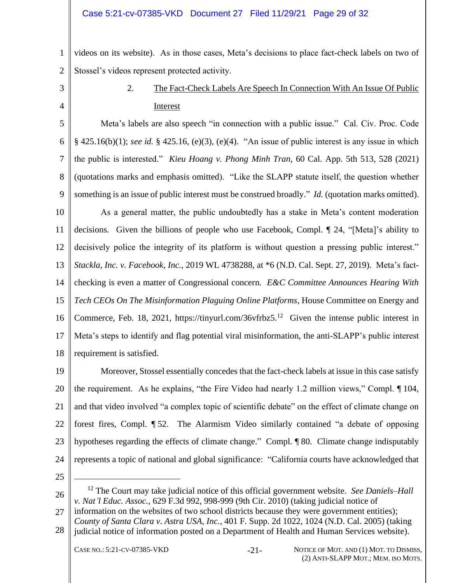1 2 videos on its website). As in those cases, Meta's decisions to place fact-check labels on two of Stossel's videos represent protected activity.

<span id="page-28-0"></span>3

4

## 2. The Fact-Check Labels Are Speech In Connection With An Issue Of Public Interest

5 6 7 8 9 Meta's labels are also speech "in connection with a public issue." Cal. Civ. Proc. Code § 425.16(b)(1); *see id.* § 425.16, (e)(3), (e)(4). "An issue of public interest is any issue in which the public is interested." *Kieu Hoang v. Phong Minh Tran*, 60 Cal. App. 5th 513, 528 (2021) (quotations marks and emphasis omitted). "Like the SLAPP statute itself, the question whether something is an issue of public interest must be construed broadly." *Id.* (quotation marks omitted).

10 11 12 13 14 15 16 17 18 As a general matter, the public undoubtedly has a stake in Meta's content moderation decisions. Given the billions of people who use Facebook, Compl. ¶ 24, "[Meta]'s ability to decisively police the integrity of its platform is without question a pressing public interest." *Stackla, Inc. v. Facebook, Inc.*, 2019 WL 4738288, at \*6 (N.D. Cal. Sept. 27, 2019). Meta's factchecking is even a matter of Congressional concern. *E&C Committee Announces Hearing With Tech CEOs On The Misinformation Plaguing Online Platforms*, House Committee on Energy and Commerce, Feb. 18, 2021, https://tinyurl.com/36vfrbz5.<sup>12</sup> Given the intense public interest in Meta's steps to identify and flag potential viral misinformation, the anti-SLAPP's public interest requirement is satisfied.

19 20 21 22 23 24 Moreover, Stossel essentially concedes that the fact-check labels at issue in this case satisfy the requirement. As he explains, "the Fire Video had nearly 1.2 million views," Compl. ¶ 104, and that video involved "a complex topic of scientific debate" on the effect of climate change on forest fires, Compl. ¶ 52. The Alarmism Video similarly contained "a debate of opposing hypotheses regarding the effects of climate change." Compl. ¶ 80. Climate change indisputably represents a topic of national and global significance: "California courts have acknowledged that

25

26

<sup>12</sup> The Court may take judicial notice of this official government website. *See Daniels–Hall v. Nat'l Educ. Assoc.*, 629 F.3d 992, 998-999 (9th Cir. 2010) (taking judicial notice of

- 27 information on the websites of two school districts because they were government entities);
- 28 *County of Santa Clara v. Astra USA, Inc.*, 401 F. Supp. 2d 1022, 1024 (N.D. Cal. 2005) (taking judicial notice of information posted on a Department of Health and Human Services website).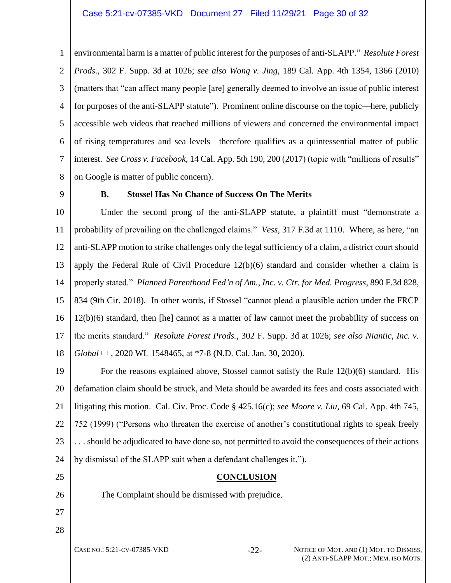1  $\mathcal{L}$ 3 4 5 6 7 8 environmental harm is a matter of public interest for the purposes of anti-SLAPP." *Resolute Forest Prods.,* 302 F. Supp. 3d at 1026; *see also Wong v. Jing*, 189 Cal. App. 4th 1354, 1366 (2010) (matters that "can affect many people [are] generally deemed to involve an issue of public interest for purposes of the anti-SLAPP statute"). Prominent online discourse on the topic—here, publicly accessible web videos that reached millions of viewers and concerned the environmental impact of rising temperatures and sea levels—therefore qualifies as a quintessential matter of public interest. *See Cross v. Facebook*, 14 Cal. App. 5th 190, 200 (2017) (topic with "millions of results" on Google is matter of public concern).

<span id="page-29-0"></span>9

#### **B. Stossel Has No Chance of Success On The Merits**

10 11 12 13 14 15 16 17 18 Under the second prong of the anti-SLAPP statute, a plaintiff must "demonstrate a probability of prevailing on the challenged claims." *Vess,* 317 F.3d at 1110. Where, as here, "an anti-SLAPP motion to strike challenges only the legal sufficiency of a claim, a district court should apply the Federal Rule of Civil Procedure 12(b)(6) standard and consider whether a claim is properly stated." *Planned Parenthood Fed'n of Am., Inc. v. Ctr. for Med. Progress*, 890 F.3d 828, 834 (9th Cir. 2018). In other words, if Stossel "cannot plead a plausible action under the FRCP 12(b)(6) standard, then [he] cannot as a matter of law cannot meet the probability of success on the merits standard." *Resolute Forest Prods.*, 302 F. Supp. 3d at 1026; *see also Niantic, Inc. v. Global++*, 2020 WL 1548465, at \*7-8 (N.D. Cal. Jan. 30, 2020).

19 20 21 22 23 24 For the reasons explained above, Stossel cannot satisfy the Rule 12(b)(6) standard. His defamation claim should be struck, and Meta should be awarded its fees and costs associated with litigating this motion. Cal. Civ. Proc. Code § 425.16(c); *see Moore v. Liu*, 69 Cal. App. 4th 745, 752 (1999) ("Persons who threaten the exercise of another's constitutional rights to speak freely . . . should be adjudicated to have done so, not permitted to avoid the consequences of their actions by dismissal of the SLAPP suit when a defendant challenges it.").

#### <span id="page-29-2"></span>**CONCLUSION**

The Complaint should be dismissed with prejudice.

27 28

<span id="page-29-1"></span>25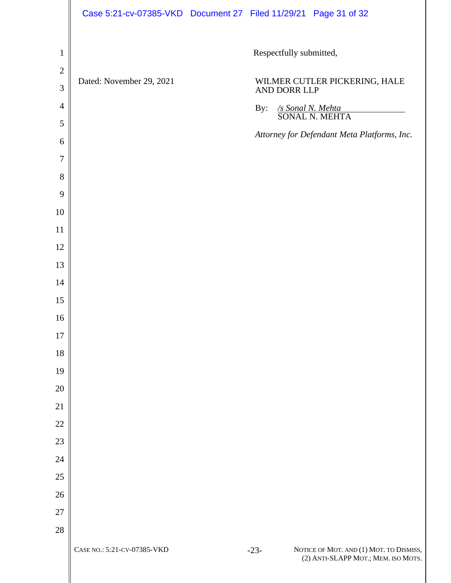|                | Case 5:21-cv-07385-VKD Document 27 Filed 11/29/21 Page 31 of 32 |                         |                                                                                |
|----------------|-----------------------------------------------------------------|-------------------------|--------------------------------------------------------------------------------|
| $\mathbf{1}$   |                                                                 | Respectfully submitted, |                                                                                |
| $\sqrt{2}$     | Dated: November 29, 2021                                        |                         |                                                                                |
| $\mathfrak{Z}$ |                                                                 |                         | WILMER CUTLER PICKERING, HALE AND DORR LLP                                     |
| $\overline{4}$ |                                                                 | By:                     | Sonal N. Mehta<br>SONAL N. MEHTA                                               |
| $\mathfrak{S}$ |                                                                 |                         | Attorney for Defendant Meta Platforms, Inc.                                    |
| 6              |                                                                 |                         |                                                                                |
| $\tau$         |                                                                 |                         |                                                                                |
| $8\,$          |                                                                 |                         |                                                                                |
| 9              |                                                                 |                         |                                                                                |
| 10             |                                                                 |                         |                                                                                |
| 11             |                                                                 |                         |                                                                                |
| 12             |                                                                 |                         |                                                                                |
| 13<br>14       |                                                                 |                         |                                                                                |
| 15             |                                                                 |                         |                                                                                |
| 16             |                                                                 |                         |                                                                                |
| 17             |                                                                 |                         |                                                                                |
| $18\,$         |                                                                 |                         |                                                                                |
| 19             |                                                                 |                         |                                                                                |
| $20\,$         |                                                                 |                         |                                                                                |
| 21             |                                                                 |                         |                                                                                |
| $22\,$         |                                                                 |                         |                                                                                |
| $23\,$         |                                                                 |                         |                                                                                |
| $24\,$         |                                                                 |                         |                                                                                |
| $25\,$         |                                                                 |                         |                                                                                |
| $26\,$         |                                                                 |                         |                                                                                |
| $27\,$         |                                                                 |                         |                                                                                |
| 28             |                                                                 |                         |                                                                                |
|                | CASE NO.: 5:21-CV-07385-VKD                                     | $-23-$                  | NOTICE OF MOT. AND (1) MOT. TO DISMISS,<br>(2) ANTI-SLAPP MOT.; MEM. ISO MOTS. |